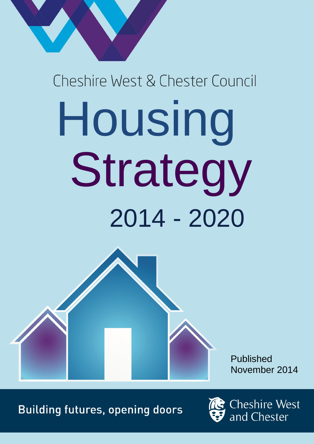# Cheshire West & Chester Council Housing Strategy 2014 - 2020

Published November 2014

**Building futures, opening doors** 



**Cheshire West** and Chester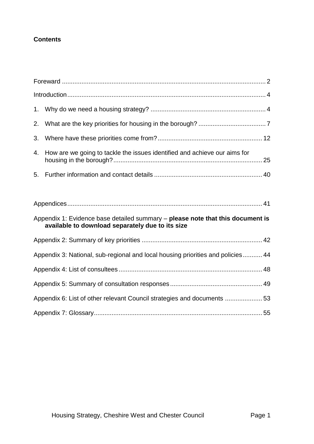## **Contents**

| 2. |                                                                                                                                    |
|----|------------------------------------------------------------------------------------------------------------------------------------|
| 3. |                                                                                                                                    |
| 4. | How are we going to tackle the issues identified and achieve our aims for                                                          |
|    |                                                                                                                                    |
|    |                                                                                                                                    |
|    |                                                                                                                                    |
|    | Appendix 1: Evidence base detailed summary - please note that this document is<br>available to download separately due to its size |
|    |                                                                                                                                    |
|    | Appendix 3: National, sub-regional and local housing priorities and policies 44                                                    |
|    |                                                                                                                                    |
|    |                                                                                                                                    |
|    | Appendix 6: List of other relevant Council strategies and documents 53                                                             |
|    |                                                                                                                                    |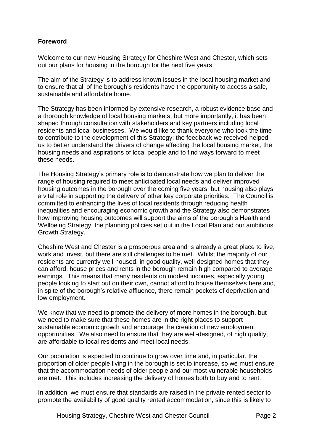## <span id="page-2-0"></span>**Foreword**

Welcome to our new Housing Strategy for Cheshire West and Chester, which sets out our plans for housing in the borough for the next five years.

The aim of the Strategy is to address known issues in the local housing market and to ensure that all of the borough's residents have the opportunity to access a safe, sustainable and affordable home.

The Strategy has been informed by extensive research, a robust evidence base and a thorough knowledge of local housing markets, but more importantly, it has been shaped through consultation with stakeholders and key partners including local residents and local businesses. We would like to thank everyone who took the time to contribute to the development of this Strategy; the feedback we received helped us to better understand the drivers of change affecting the local housing market, the housing needs and aspirations of local people and to find ways forward to meet these needs.

The Housing Strategy's primary role is to demonstrate how we plan to deliver the range of housing required to meet anticipated local needs and deliver improved housing outcomes in the borough over the coming five years, but housing also plays a vital role in supporting the delivery of other key corporate priorities. The Council is committed to enhancing the lives of local residents through reducing health inequalities and encouraging economic growth and the Strategy also demonstrates how improving housing outcomes will support the aims of the borough's Health and Wellbeing Strategy, the planning policies set out in the Local Plan and our ambitious Growth Strategy.

Cheshire West and Chester is a prosperous area and is already a great place to live, work and invest, but there are still challenges to be met. Whilst the majority of our residents are currently well-housed, in good quality, well-designed homes that they can afford, house prices and rents in the borough remain high compared to average earnings. This means that many residents on modest incomes, especially young people looking to start out on their own, cannot afford to house themselves here and, in spite of the borough's relative affluence, there remain pockets of deprivation and low employment.

We know that we need to promote the delivery of more homes in the borough, but we need to make sure that these homes are in the right places to support sustainable economic growth and encourage the creation of new employment opportunities. We also need to ensure that they are well-designed, of high quality, are affordable to local residents and meet local needs.

Our population is expected to continue to grow over time and, in particular, the proportion of older people living in the borough is set to increase, so we must ensure that the accommodation needs of older people and our most vulnerable households are met. This includes increasing the delivery of homes both to buy and to rent.

In addition, we must ensure that standards are raised in the private rented sector to promote the availability of good quality rented accommodation, since this is likely to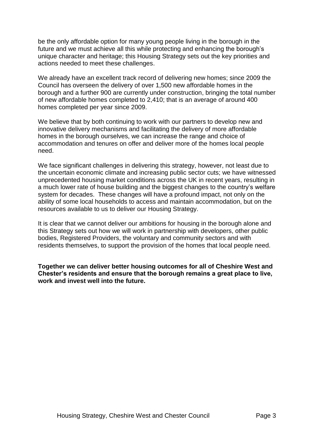be the only affordable option for many young people living in the borough in the future and we must achieve all this while protecting and enhancing the borough's unique character and heritage; this Housing Strategy sets out the key priorities and actions needed to meet these challenges.

We already have an excellent track record of delivering new homes; since 2009 the Council has overseen the delivery of over 1,500 new affordable homes in the borough and a further 900 are currently under construction, bringing the total number of new affordable homes completed to 2,410; that is an average of around 400 homes completed per year since 2009.

We believe that by both continuing to work with our partners to develop new and innovative delivery mechanisms and facilitating the delivery of more affordable homes in the borough ourselves, we can increase the range and choice of accommodation and tenures on offer and deliver more of the homes local people need.

We face significant challenges in delivering this strategy, however, not least due to the uncertain economic climate and increasing public sector cuts; we have witnessed unprecedented housing market conditions across the UK in recent years, resulting in a much lower rate of house building and the biggest changes to the country's welfare system for decades. These changes will have a profound impact, not only on the ability of some local households to access and maintain accommodation, but on the resources available to us to deliver our Housing Strategy.

It is clear that we cannot deliver our ambitions for housing in the borough alone and this Strategy sets out how we will work in partnership with developers, other public bodies, Registered Providers, the voluntary and community sectors and with residents themselves, to support the provision of the homes that local people need.

**Together we can deliver better housing outcomes for all of Cheshire West and Chester's residents and ensure that the borough remains a great place to live, work and invest well into the future.**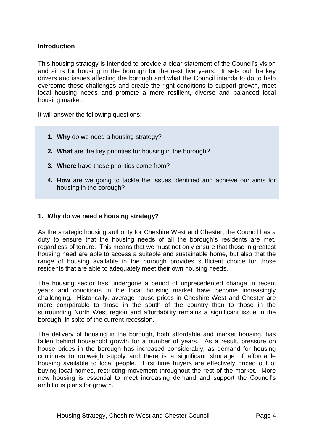## **Introduction**

This housing strategy is intended to provide a clear statement of the Council's vision and aims for housing in the borough for the next five years. It sets out the key drivers and issues affecting the borough and what the Council intends to do to help overcome these challenges and create the right conditions to support growth, meet local housing needs and promote a more resilient, diverse and balanced local housing market.

It will answer the following questions:

- **1. Why** do we need a housing strategy?
- **2. What** are the key priorities for housing in the borough?
- **3. Where** have these priorities come from?
- **4. How** are we going to tackle the issues identified and achieve our aims for housing in the borough?

## <span id="page-4-0"></span>**1. Why do we need a housing strategy?**

As the strategic housing authority for Cheshire West and Chester, the Council has a duty to ensure that the housing needs of all the borough's residents are met, regardless of tenure. This means that we must not only ensure that those in greatest housing need are able to access a suitable and sustainable home, but also that the range of housing available in the borough provides sufficient choice for those residents that are able to adequately meet their own housing needs.

The housing sector has undergone a period of unprecedented change in recent years and conditions in the local housing market have become increasingly challenging. Historically, average house prices in Cheshire West and Chester are more comparable to those in the south of the country than to those in the surrounding North West region and affordability remains a significant issue in the borough, in spite of the current recession.

The delivery of housing in the borough, both affordable and market housing, has fallen behind household growth for a number of years. As a result, pressure on house prices in the borough has increased considerably, as demand for housing continues to outweigh supply and there is a significant shortage of affordable housing available to local people. First time buyers are effectively priced out of buying local homes, restricting movement throughout the rest of the market. More new housing is essential to meet increasing demand and support the Council's ambitious plans for growth.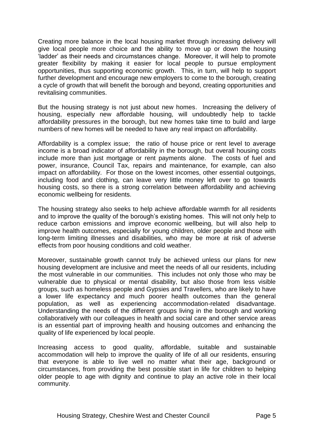Creating more balance in the local housing market through increasing delivery will give local people more choice and the ability to move up or down the housing 'ladder' as their needs and circumstances change. Moreover, it will help to promote greater flexibility by making it easier for local people to pursue employment opportunities, thus supporting economic growth. This, in turn, will help to support further development and encourage new employers to come to the borough, creating a cycle of growth that will benefit the borough and beyond, creating opportunities and revitalising communities.

But the housing strategy is not just about new homes. Increasing the delivery of housing, especially new affordable housing, will undoubtedly help to tackle affordability pressures in the borough, but new homes take time to build and large numbers of new homes will be needed to have any real impact on affordability.

Affordability is a complex issue; the ratio of house price or rent level to average income is a broad indicator of affordability in the borough, but overall housing costs include more than just mortgage or rent payments alone. The costs of fuel and power, insurance, Council Tax, repairs and maintenance, for example, can also impact on affordability. For those on the lowest incomes, other essential outgoings, including food and clothing, can leave very little money left over to go towards housing costs, so there is a strong correlation between affordability and achieving economic wellbeing for residents.

The housing strategy also seeks to help achieve affordable warmth for all residents and to improve the quality of the borough's existing homes. This will not only help to reduce carbon emissions and improve economic wellbeing, but will also help to improve health outcomes, especially for young children, older people and those with long-term limiting illnesses and disabilities, who may be more at risk of adverse effects from poor housing conditions and cold weather.

Moreover, sustainable growth cannot truly be achieved unless our plans for new housing development are inclusive and meet the needs of all our residents, including the most vulnerable in our communities. This includes not only those who may be vulnerable due to physical or mental disability, but also those from less visible groups, such as homeless people and Gypsies and Travellers, who are likely to have a lower life expectancy and much poorer health outcomes than the general population, as well as experiencing accommodation-related disadvantage. Understanding the needs of the different groups living in the borough and working collaboratively with our colleagues in health and social care and other service areas is an essential part of improving health and housing outcomes and enhancing the quality of life experienced by local people.

Increasing access to good quality, affordable, suitable and sustainable accommodation will help to improve the quality of life of all our residents, ensuring that everyone is able to live well no matter what their age, background or circumstances, from providing the best possible start in life for children to helping older people to age with dignity and continue to play an active role in their local community.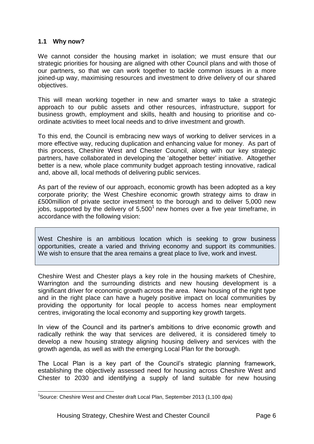## **1.1 Why now?**

-

We cannot consider the housing market in isolation; we must ensure that our strategic priorities for housing are aligned with other Council plans and with those of our partners, so that we can work together to tackle common issues in a more joined-up way, maximising resources and investment to drive delivery of our shared objectives.

This will mean working together in new and smarter ways to take a strategic approach to our public assets and other resources, infrastructure, support for business growth, employment and skills, health and housing to prioritise and coordinate activities to meet local needs and to drive investment and growth.

To this end, the Council is embracing new ways of working to deliver services in a more effective way, reducing duplication and enhancing value for money. As part of this process, Cheshire West and Chester Council, along with our key strategic partners, have collaborated in developing the 'altogether better' initiative. Altogether better is a new, whole place community budget approach testing innovative, radical and, above all, local methods of delivering public services.

As part of the review of our approach, economic growth has been adopted as a key corporate priority; the West Cheshire economic growth strategy aims to draw in £500million of private sector investment to the borough and to deliver 5,000 new jobs, supported by the delivery of  $5,500<sup>1</sup>$  new homes over a five year timeframe, in accordance with the following vision:

West Cheshire is an ambitious location which is seeking to grow business opportunities, create a varied and thriving economy and support its communities. We wish to ensure that the area remains a great place to live, work and invest.

Cheshire West and Chester plays a key role in the housing markets of Cheshire, Warrington and the surrounding districts and new housing development is a significant driver for economic growth across the area. New housing of the right type and in the right place can have a hugely positive impact on local communities by providing the opportunity for local people to access homes near employment centres, invigorating the local economy and supporting key growth targets.

In view of the Council and its partner's ambitions to drive economic growth and radically rethink the way that services are delivered, it is considered timely to develop a new housing strategy aligning housing delivery and services with the growth agenda, as well as with the emerging Local Plan for the borough.

The Local Plan is a key part of the Council's strategic planning framework, establishing the objectively assessed need for housing across Cheshire West and Chester to 2030 and identifying a supply of land suitable for new housing

<sup>&</sup>lt;sup>1</sup>Source: Cheshire West and Chester draft Local Plan, September 2013 (1,100 dpa)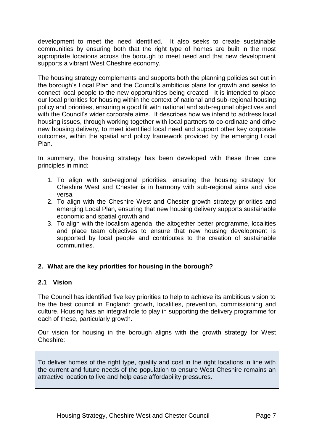development to meet the need identified. It also seeks to create sustainable communities by ensuring both that the right type of homes are built in the most appropriate locations across the borough to meet need and that new development supports a vibrant West Cheshire economy.

The housing strategy complements and supports both the planning policies set out in the borough's Local Plan and the Council's ambitious plans for growth and seeks to connect local people to the new opportunities being created. It is intended to place our local priorities for housing within the context of national and sub-regional housing policy and priorities, ensuring a good fit with national and sub-regional objectives and with the Council's wider corporate aims. It describes how we intend to address local housing issues, through working together with local partners to co-ordinate and drive new housing delivery, to meet identified local need and support other key corporate outcomes, within the spatial and policy framework provided by the emerging Local Plan.

In summary, the housing strategy has been developed with these three core principles in mind:

- 1. To align with sub-regional priorities, ensuring the housing strategy for Cheshire West and Chester is in harmony with sub-regional aims and vice versa
- 2. To align with the Cheshire West and Chester growth strategy priorities and emerging Local Plan, ensuring that new housing delivery supports sustainable economic and spatial growth and
- 3. To align with the localism agenda, the altogether better programme, localities and place team objectives to ensure that new housing development is supported by local people and contributes to the creation of sustainable communities.

## <span id="page-7-0"></span>**2. What are the key priorities for housing in the borough?**

## **2.1 Vision**

The Council has identified five key priorities to help to achieve its ambitious vision to be the best council in England: growth, localities, prevention, commissioning and culture. Housing has an integral role to play in supporting the delivery programme for each of these, particularly growth.

Our vision for housing in the borough aligns with the growth strategy for West Cheshire:

To deliver homes of the right type, quality and cost in the right locations in line with the current and future needs of the population to ensure West Cheshire remains an attractive location to live and help ease affordability pressures.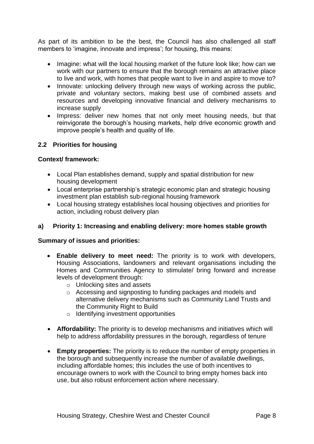As part of its ambition to be the best, the Council has also challenged all staff members to 'imagine, innovate and impress'; for housing, this means:

- Imagine: what will the local housing market of the future look like; how can we work with our partners to ensure that the borough remains an attractive place to live and work, with homes that people want to live in and aspire to move to?
- Innovate: unlocking delivery through new ways of working across the public, private and voluntary sectors, making best use of combined assets and resources and developing innovative financial and delivery mechanisms to increase supply
- Impress: deliver new homes that not only meet housing needs, but that reinvigorate the borough's housing markets, help drive economic growth and improve people's health and quality of life.

## **2.2 Priorities for housing**

## **Context/ framework:**

- Local Plan establishes demand, supply and spatial distribution for new housing development
- Local enterprise partnership's strategic economic plan and strategic housing investment plan establish sub-regional housing framework
- Local housing strategy establishes local housing objectives and priorities for action, including robust delivery plan

## **a) Priority 1: Increasing and enabling delivery: more homes stable growth**

## **Summary of issues and priorities:**

- **Enable delivery to meet need:** The priority is to work with developers, Housing Associations, landowners and relevant organisations including the Homes and Communities Agency to stimulate/ bring forward and increase levels of development through:
	- o Unlocking sites and assets
	- o Accessing and signposting to funding packages and models and alternative delivery mechanisms such as Community Land Trusts and the Community Right to Build
	- o Identifying investment opportunities
- **Affordability:** The priority is to develop mechanisms and initiatives which will help to address affordability pressures in the borough, regardless of tenure
- **Empty properties:** The priority is to reduce the number of empty properties in the borough and subsequently increase the number of available dwellings, including affordable homes; this includes the use of both incentives to encourage owners to work with the Council to bring empty homes back into use, but also robust enforcement action where necessary.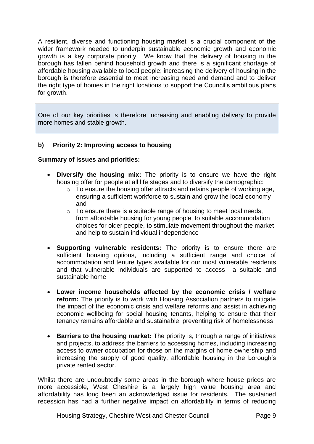A resilient, diverse and functioning housing market is a crucial component of the wider framework needed to underpin sustainable economic growth and economic growth is a key corporate priority. We know that the delivery of housing in the borough has fallen behind household growth and there is a significant shortage of affordable housing available to local people; increasing the delivery of housing in the borough is therefore essential to meet increasing need and demand and to deliver the right type of homes in the right locations to support the Council's ambitious plans for growth.

One of our key priorities is therefore increasing and enabling delivery to provide more homes and stable growth.

## **b) Priority 2: Improving access to housing**

## **Summary of issues and priorities:**

- **Diversify the housing mix:** The priority is to ensure we have the right housing offer for people at all life stages and to diversify the demographic:
	- o To ensure the housing offer attracts and retains people of working age, ensuring a sufficient workforce to sustain and grow the local economy and
	- $\circ$  To ensure there is a suitable range of housing to meet local needs. from affordable housing for young people, to suitable accommodation choices for older people, to stimulate movement throughout the market and help to sustain individual independence
- **Supporting vulnerable residents:** The priority is to ensure there are sufficient housing options, including a sufficient range and choice of accommodation and tenure types available for our most vulnerable residents and that vulnerable individuals are supported to access a suitable and sustainable home
- **Lower income households affected by the economic crisis / welfare reform:** The priority is to work with Housing Association partners to mitigate the impact of the economic crisis and welfare reforms and assist in achieving economic wellbeing for social housing tenants, helping to ensure that their tenancy remains affordable and sustainable, preventing risk of homelessness
- **Barriers to the housing market:** The priority is, through a range of initiatives and projects, to address the barriers to accessing homes, including increasing access to owner occupation for those on the margins of home ownership and increasing the supply of good quality, affordable housing in the borough's private rented sector.

Whilst there are undoubtedly some areas in the borough where house prices are more accessible, West Cheshire is a largely high value housing area and affordability has long been an acknowledged issue for residents. The sustained recession has had a further negative impact on affordability in terms of reducing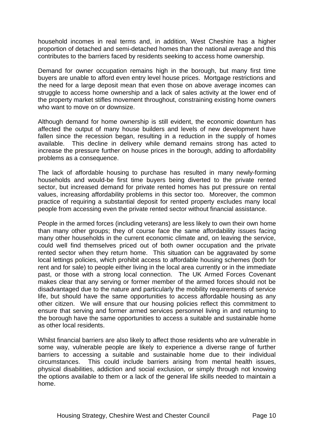household incomes in real terms and, in addition, West Cheshire has a higher proportion of detached and semi-detached homes than the national average and this contributes to the barriers faced by residents seeking to access home ownership.

Demand for owner occupation remains high in the borough, but many first time buyers are unable to afford even entry level house prices. Mortgage restrictions and the need for a large deposit mean that even those on above average incomes can struggle to access home ownership and a lack of sales activity at the lower end of the property market stifles movement throughout, constraining existing home owners who want to move on or downsize.

Although demand for home ownership is still evident, the economic downturn has affected the output of many house builders and levels of new development have fallen since the recession began, resulting in a reduction in the supply of homes available. This decline in delivery while demand remains strong has acted to increase the pressure further on house prices in the borough, adding to affordability problems as a consequence.

The lack of affordable housing to purchase has resulted in many newly-forming households and would-be first time buyers being diverted to the private rented sector, but increased demand for private rented homes has put pressure on rental values, increasing affordability problems in this sector too. Moreover, the common practice of requiring a substantial deposit for rented property excludes many local people from accessing even the private rented sector without financial assistance.

People in the armed forces (including veterans) are less likely to own their own home than many other groups; they of course face the same affordability issues facing many other households in the current economic climate and, on leaving the service, could well find themselves priced out of both owner occupation and the private rented sector when they return home. This situation can be aggravated by some local lettings policies, which prohibit access to affordable housing schemes (both for rent and for sale) to people either living in the local area currently or in the immediate past, or those with a strong local connection. The UK Armed Forces Covenant makes clear that any serving or former member of the armed forces should not be disadvantaged due to the nature and particularly the mobility requirements of service life, but should have the same opportunities to access affordable housing as any other citizen. We will ensure that our housing policies reflect this commitment to ensure that serving and former armed services personnel living in and returning to the borough have the same opportunities to access a suitable and sustainable home as other local residents.

Whilst financial barriers are also likely to affect those residents who are vulnerable in some way, vulnerable people are likely to experience a diverse range of further barriers to accessing a suitable and sustainable home due to their individual circumstances. This could include barriers arising from mental health issues, physical disabilities, addiction and social exclusion, or simply through not knowing the options available to them or a lack of the general life skills needed to maintain a home.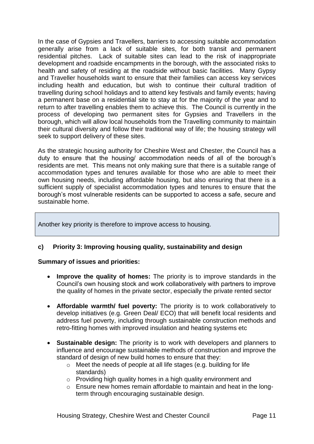In the case of Gypsies and Travellers, barriers to accessing suitable accommodation generally arise from a lack of suitable sites, for both transit and permanent residential pitches. Lack of suitable sites can lead to the risk of inappropriate development and roadside encampments in the borough, with the associated risks to health and safety of residing at the roadside without basic facilities. Many Gypsy and Traveller households want to ensure that their families can access key services including health and education, but wish to continue their cultural tradition of travelling during school holidays and to attend key festivals and family events; having a permanent base on a residential site to stay at for the majority of the year and to return to after travelling enables them to achieve this. The Council is currently in the process of developing two permanent sites for Gypsies and Travellers in the borough, which will allow local households from the Travelling community to maintain their cultural diversity and follow their traditional way of life; the housing strategy will seek to support delivery of these sites.

As the strategic housing authority for Cheshire West and Chester, the Council has a duty to ensure that the housing/ accommodation needs of all of the borough's residents are met. This means not only making sure that there is a suitable range of accommodation types and tenures available for those who are able to meet their own housing needs, including affordable housing, but also ensuring that there is a sufficient supply of specialist accommodation types and tenures to ensure that the borough's most vulnerable residents can be supported to access a safe, secure and sustainable home.

Another key priority is therefore to improve access to housing.

## **c) Priority 3: Improving housing quality, sustainability and design**

## **Summary of issues and priorities:**

- **Improve the quality of homes:** The priority is to improve standards in the Council's own housing stock and work collaboratively with partners to improve the quality of homes in the private sector, especially the private rented sector
- **Affordable warmth/ fuel poverty:** The priority is to work collaboratively to develop initiatives (e.g. Green Deal/ ECO) that will benefit local residents and address fuel poverty, including through sustainable construction methods and retro-fitting homes with improved insulation and heating systems etc
- **Sustainable design:** The priority is to work with developers and planners to influence and encourage sustainable methods of construction and improve the standard of design of new build homes to ensure that they:
	- o Meet the needs of people at all life stages (e.g. building for life standards)
	- $\circ$  Providing high quality homes in a high quality environment and
	- o Ensure new homes remain affordable to maintain and heat in the longterm through encouraging sustainable design.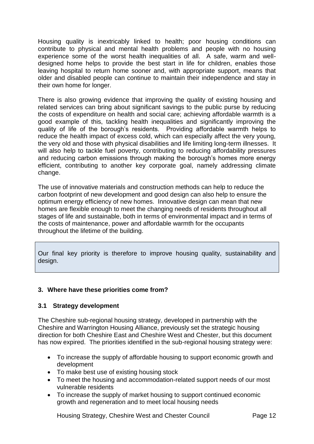Housing quality is inextricably linked to health; poor housing conditions can contribute to physical and mental health problems and people with no housing experience some of the worst health inequalities of all. A safe, warm and welldesigned home helps to provide the best start in life for children, enables those leaving hospital to return home sooner and, with appropriate support, means that older and disabled people can continue to maintain their independence and stay in their own home for longer.

There is also growing evidence that improving the quality of existing housing and related services can bring about significant savings to the public purse by reducing the costs of expenditure on health and social care; achieving affordable warmth is a good example of this, tackling health inequalities and significantly improving the quality of life of the borough's residents. Providing affordable warmth helps to reduce the health impact of excess cold, which can especially affect the very young, the very old and those with physical disabilities and life limiting long-term illnesses. It will also help to tackle fuel poverty, contributing to reducing affordability pressures and reducing carbon emissions through making the borough's homes more energy efficient, contributing to another key corporate goal, namely addressing climate change.

The use of innovative materials and construction methods can help to reduce the carbon footprint of new development and good design can also help to ensure the optimum energy efficiency of new homes. Innovative design can mean that new homes are flexible enough to meet the changing needs of residents throughout all stages of life and sustainable, both in terms of environmental impact and in terms of the costs of maintenance, power and affordable warmth for the occupants throughout the lifetime of the building.

Our final key priority is therefore to improve housing quality, sustainability and design.

## <span id="page-12-0"></span>**3. Where have these priorities come from?**

## **3.1 Strategy development**

The Cheshire sub-regional housing strategy, developed in partnership with the Cheshire and Warrington Housing Alliance, previously set the strategic housing direction for both Cheshire East and Cheshire West and Chester, but this document has now expired. The priorities identified in the sub-regional housing strategy were:

- To increase the supply of affordable housing to support economic growth and development
- To make best use of existing housing stock
- To meet the housing and accommodation-related support needs of our most vulnerable residents
- To increase the supply of market housing to support continued economic growth and regeneration and to meet local housing needs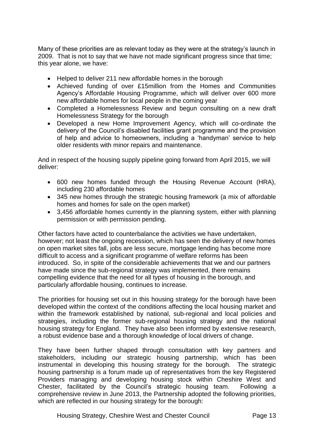Many of these priorities are as relevant today as they were at the strategy's launch in 2009. That is not to say that we have not made significant progress since that time; this year alone, we have:

- Helped to deliver 211 new affordable homes in the borough
- Achieved funding of over £15million from the Homes and Communities Agency's Affordable Housing Programme, which will deliver over 600 more new affordable homes for local people in the coming year
- Completed a Homelessness Review and begun consulting on a new draft Homelessness Strategy for the borough
- Developed a new Home Improvement Agency, which will co-ordinate the delivery of the Council's disabled facilities grant programme and the provision of help and advice to homeowners, including a 'handyman' service to help older residents with minor repairs and maintenance.

And in respect of the housing supply pipeline going forward from April 2015, we will deliver:

- 600 new homes funded through the Housing Revenue Account (HRA), including 230 affordable homes
- 345 new homes through the strategic housing framework (a mix of affordable homes and homes for sale on the open market)
- 3,456 affordable homes currently in the planning system, either with planning permission or with permission pending.

Other factors have acted to counterbalance the activities we have undertaken, however; not least the ongoing recession, which has seen the delivery of new homes on open market sites fall, jobs are less secure, mortgage lending has become more difficult to access and a significant programme of welfare reforms has been introduced. So, in spite of the considerable achievements that we and our partners have made since the sub-regional strategy was implemented, there remains compelling evidence that the need for all types of housing in the borough, and particularly affordable housing, continues to increase.

The priorities for housing set out in this housing strategy for the borough have been developed within the context of the conditions affecting the local housing market and within the framework established by national, sub-regional and local policies and strategies, including the former sub-regional housing strategy and the national housing strategy for England. They have also been informed by extensive research, a robust evidence base and a thorough knowledge of local drivers of change.

They have been further shaped through consultation with key partners and stakeholders, including our strategic housing partnership, which has been instrumental in developing this housing strategy for the borough. The strategic housing partnership is a forum made up of representatives from the key Registered Providers managing and developing housing stock within Cheshire West and Chester, facilitated by the Council's strategic housing team. Following a comprehensive review in June 2013, the Partnership adopted the following priorities, which are reflected in our housing strategy for the borough: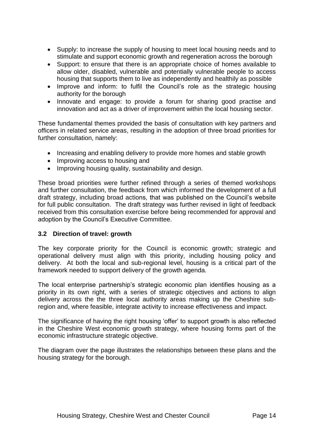- Supply: to increase the supply of housing to meet local housing needs and to stimulate and support economic growth and regeneration across the borough
- Support: to ensure that there is an appropriate choice of homes available to allow older, disabled, vulnerable and potentially vulnerable people to access housing that supports them to live as independently and healthily as possible
- Improve and inform: to fulfil the Council's role as the strategic housing authority for the borough
- Innovate and engage: to provide a forum for sharing good practise and innovation and act as a driver of improvement within the local housing sector.

These fundamental themes provided the basis of consultation with key partners and officers in related service areas, resulting in the adoption of three broad priorities for further consultation, namely:

- Increasing and enabling delivery to provide more homes and stable growth
- Improving access to housing and
- Improving housing quality, sustainability and design.

These broad priorities were further refined through a series of themed workshops and further consultation, the feedback from which informed the development of a full draft strategy, including broad actions, that was published on the Council's website for full public consultation. The draft strategy was further revised in light of feedback received from this consultation exercise before being recommended for approval and adoption by the Council's Executive Committee.

## **3.2 Direction of travel: growth**

The key corporate priority for the Council is economic growth; strategic and operational delivery must align with this priority, including housing policy and delivery. At both the local and sub-regional level, housing is a critical part of the framework needed to support delivery of the growth agenda.

The local enterprise partnership's strategic economic plan identifies housing as a priority in its own right, with a series of strategic objectives and actions to align delivery across the the three local authority areas making up the Cheshire subregion and, where feasible, integrate activity to increase effectiveness and impact.

The significance of having the right housing 'offer' to support growth is also reflected in the Cheshire West economic growth strategy, where housing forms part of the economic infrastructure strategic objective.

The diagram over the page illustrates the relationships between these plans and the housing strategy for the borough.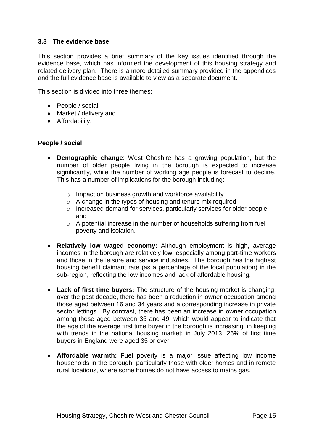## **3.3 The evidence base**

This section provides a brief summary of the key issues identified through the evidence base, which has informed the development of this housing strategy and related delivery plan. There is a more detailed summary provided in the appendices and the full evidence base is available to view as a separate document.

This section is divided into three themes:

- People / social
- Market / delivery and
- Affordability.

## **People / social**

- **Demographic change**: West Cheshire has a growing population, but the number of older people living in the borough is expected to increase significantly, while the number of working age people is forecast to decline. This has a number of implications for the borough including:
	- o Impact on business growth and workforce availability
	- $\circ$  A change in the types of housing and tenure mix required
	- o Increased demand for services, particularly services for older people and
	- o A potential increase in the number of households suffering from fuel poverty and isolation.
- **Relatively low waged economy:** Although employment is high, average incomes in the borough are relatively low, especially among part-time workers and those in the leisure and service industries. The borough has the highest housing benefit claimant rate (as a percentage of the local population) in the sub-region, reflecting the low incomes and lack of affordable housing.
- **Lack of first time buyers:** The structure of the housing market is changing; over the past decade, there has been a reduction in owner occupation among those aged between 16 and 34 years and a corresponding increase in private sector lettings. By contrast, there has been an increase in owner occupation among those aged between 35 and 49, which would appear to indicate that the age of the average first time buyer in the borough is increasing, in keeping with trends in the national housing market; in July 2013, 26% of first time buyers in England were aged 35 or over.
- **Affordable warmth:** Fuel poverty is a major issue affecting low income households in the borough, particularly those with older homes and in remote rural locations, where some homes do not have access to mains gas.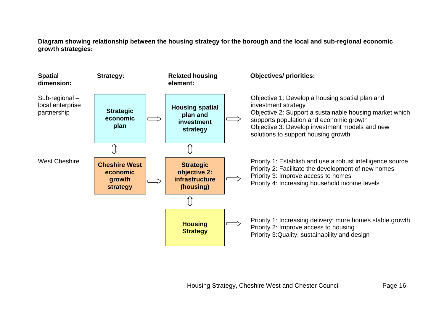**Diagram showing relationship between the housing strategy for the borough and the local and sub-regional economic growth strategies:**

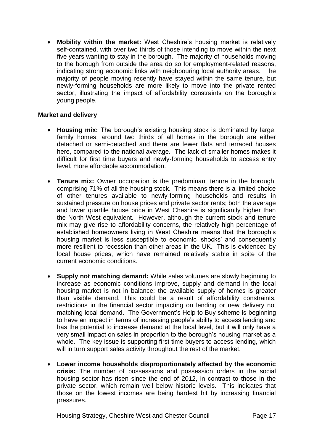**Mobility within the market:** West Cheshire's housing market is relatively self-contained, with over two thirds of those intending to move within the next five years wanting to stay in the borough. The majority of households moving to the borough from outside the area do so for employment-related reasons, indicating strong economic links with neighbouring local authority areas. The majority of people moving recently have stayed within the same tenure, but newly-forming households are more likely to move into the private rented sector, illustrating the impact of affordability constraints on the borough's young people.

## **Market and delivery**

- **Housing mix:** The borough's existing housing stock is dominated by large, family homes; around two thirds of all homes in the borough are either detached or semi-detached and there are fewer flats and terraced houses here, compared to the national average. The lack of smaller homes makes it difficult for first time buyers and newly-forming households to access entry level, more affordable accommodation.
- **Tenure mix:** Owner occupation is the predominant tenure in the borough, comprising 71% of all the housing stock. This means there is a limited choice of other tenures available to newly-forming households and results in sustained pressure on house prices and private sector rents; both the average and lower quartile house price in West Cheshire is significantly higher than the North West equivalent. However, although the current stock and tenure mix may give rise to affordability concerns, the relatively high percentage of established homeowners living in West Cheshire means that the borough's housing market is less susceptible to economic 'shocks' and consequently more resilient to recession than other areas in the UK. This is evidenced by local house prices, which have remained relatively stable in spite of the current economic conditions.
- **Supply not matching demand:** While sales volumes are slowly beginning to increase as economic conditions improve, supply and demand in the local housing market is not in balance; the available supply of homes is greater than visible demand. This could be a result of affordability constraints, restrictions in the financial sector impacting on lending or new delivery not matching local demand. The Government's Help to Buy scheme is beginning to have an impact in terms of increasing people's ability to access lending and has the potential to increase demand at the local level, but it will only have a very small impact on sales in proportion to the borough's housing market as a whole. The key issue is supporting first time buyers to access lending, which will in turn support sales activity throughout the rest of the market.
- **Lower income households disproportionately affected by the economic crisis:** The number of possessions and possession orders in the social housing sector has risen since the end of 2012, in contrast to those in the private sector, which remain well below historic levels. This indicates that those on the lowest incomes are being hardest hit by increasing financial pressures.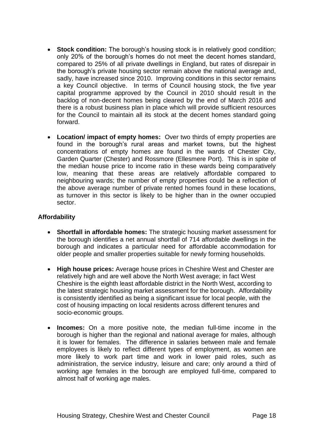- **Stock condition:** The borough's housing stock is in relatively good condition; only 20% of the borough's homes do not meet the decent homes standard, compared to 25% of all private dwellings in England, but rates of disrepair in the borough's private housing sector remain above the national average and, sadly, have increased since 2010. Improving conditions in this sector remains a key Council objective. In terms of Council housing stock, the five year capital programme approved by the Council in 2010 should result in the backlog of non-decent homes being cleared by the end of March 2016 and there is a robust business plan in place which will provide sufficient resources for the Council to maintain all its stock at the decent homes standard going forward.
- **Location/ impact of empty homes:** Over two thirds of empty properties are found in the borough's rural areas and market towns, but the highest concentrations of empty homes are found in the wards of Chester City, Garden Quarter (Chester) and Rossmore (Ellesmere Port). This is in spite of the median house price to income ratio in these wards being comparatively low, meaning that these areas are relatively affordable compared to neighbouring wards; the number of empty properties could be a reflection of the above average number of private rented homes found in these locations, as turnover in this sector is likely to be higher than in the owner occupied sector.

## **Affordability**

- **Shortfall in affordable homes:** The strategic housing market assessment for the borough identifies a net annual shortfall of 714 affordable dwellings in the borough and indicates a particular need for affordable accommodation for older people and smaller properties suitable for newly forming households.
- **High house prices:** Average house prices in Cheshire West and Chester are relatively high and are well above the North West average; in fact West Cheshire is the eighth least affordable district in the North West, according to the latest strategic housing market assessment for the borough. Affordability is consistently identified as being a significant issue for local people, with the cost of housing impacting on local residents across different tenures and socio-economic groups.
- **Incomes:** On a more positive note, the median full-time income in the borough is higher than the regional and national average for males, although it is lower for females. The difference in salaries between male and female employees is likely to reflect different types of employment, as women are more likely to work part time and work in lower paid roles, such as administration, the service industry, leisure and care; only around a third of working age females in the borough are employed full-time, compared to almost half of working age males.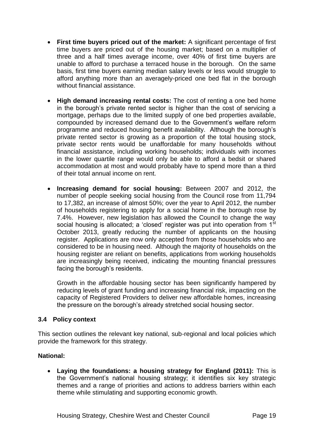- **First time buyers priced out of the market:** A significant percentage of first time buyers are priced out of the housing market; based on a multiplier of three and a half times average income, over 40% of first time buyers are unable to afford to purchase a terraced house in the borough. On the same basis, first time buyers earning median salary levels or less would struggle to afford anything more than an averagely-priced one bed flat in the borough without financial assistance.
- **High demand increasing rental costs:** The cost of renting a one bed home in the borough's private rented sector is higher than the cost of servicing a mortgage, perhaps due to the limited supply of one bed properties available, compounded by increased demand due to the Government's welfare reform programme and reduced housing benefit availability. Although the borough's private rented sector is growing as a proportion of the total housing stock, private sector rents would be unaffordable for many households without financial assistance, including working households; individuals with incomes in the lower quartile range would only be able to afford a bedsit or shared accommodation at most and would probably have to spend more than a third of their total annual income on rent.
- **Increasing demand for social housing:** Between 2007 and 2012, the number of people seeking social housing from the Council rose from 11,794 to 17,382, an increase of almost 50%; over the year to April 2012, the number of households registering to apply for a social home in the borough rose by 7.4%. However, new legislation has allowed the Council to change the way social housing is allocated; a 'closed' register was put into operation from 1<sup>st</sup> October 2013, greatly reducing the number of applicants on the housing register. Applications are now only accepted from those households who are considered to be in housing need. Although the majority of households on the housing register are reliant on benefits, applications from working households are increasingly being received, indicating the mounting financial pressures facing the borough's residents.

Growth in the affordable housing sector has been significantly hampered by reducing levels of grant funding and increasing financial risk, impacting on the capacity of Registered Providers to deliver new affordable homes, increasing the pressure on the borough's already stretched social housing sector.

## **3.4 Policy context**

This section outlines the relevant key national, sub-regional and local policies which provide the framework for this strategy.

## **National:**

 **Laying the foundations: a housing strategy for England (2011):** This is the Government's national housing strategy; it identifies six key strategic themes and a range of priorities and actions to address barriers within each theme while stimulating and supporting economic growth.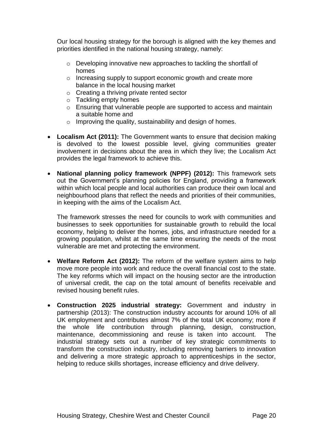Our local housing strategy for the borough is aligned with the key themes and priorities identified in the national housing strategy, namely:

- o Developing innovative new approaches to tackling the shortfall of homes
- o Increasing supply to support economic growth and create more balance in the local housing market
- o Creating a thriving private rented sector
- o Tackling empty homes
- o Ensuring that vulnerable people are supported to access and maintain a suitable home and
- o Improving the quality, sustainability and design of homes.
- **Localism Act (2011):** The Government wants to ensure that decision making is devolved to the lowest possible level, giving communities greater involvement in decisions about the area in which they live; the Localism Act provides the legal framework to achieve this.
- **National planning policy framework (NPPF) (2012):** This framework sets out the Government's planning policies for England, providing a framework within which local people and local authorities can produce their own local and neighbourhood plans that reflect the needs and priorities of their communities, in keeping with the aims of the Localism Act.

The framework stresses the need for councils to work with communities and businesses to seek opportunities for sustainable growth to rebuild the local economy, helping to deliver the homes, jobs, and infrastructure needed for a growing population, whilst at the same time ensuring the needs of the most vulnerable are met and protecting the environment.

- **Welfare Reform Act (2012):** The reform of the welfare system aims to help move more people into work and reduce the overall financial cost to the state. The key reforms which will impact on the housing sector are the introduction of universal credit, the cap on the total amount of benefits receivable and revised housing benefit rules.
- **Construction 2025 industrial strategy:** Government and industry in partnership (2013): The construction industry accounts for around 10% of all UK employment and contributes almost 7% of the total UK economy; more if the whole life contribution through planning, design, construction, maintenance, decommissioning and reuse is taken into account. The industrial strategy sets out a number of key strategic commitments to transform the construction industry, including removing barriers to innovation and delivering a more strategic approach to apprenticeships in the sector, helping to reduce skills shortages, increase efficiency and drive delivery.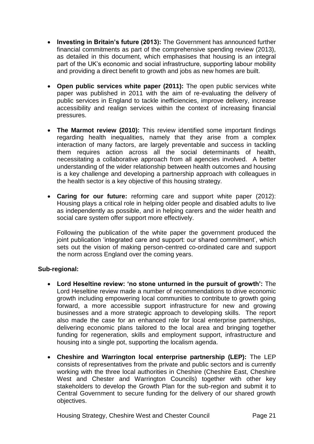- **Investing in Britain's future (2013):** The Government has announced further financial commitments as part of the comprehensive spending review (2013), as detailed in this document, which emphasises that housing is an integral part of the UK's economic and social infrastructure, supporting labour mobility and providing a direct benefit to growth and jobs as new homes are built.
- **Open public services white paper (2011):** The open public services white paper was published in 2011 with the aim of re-evaluating the delivery of public services in England to tackle inefficiencies, improve delivery, increase accessibility and realign services within the context of increasing financial pressures.
- **The Marmot review (2010):** This review identified some important findings regarding health inequalities, namely that they arise from a complex interaction of many factors, are largely preventable and success in tackling them requires action across all the social determinants of health, necessitating a collaborative approach from all agencies involved. A better understanding of the wider relationship between health outcomes and housing is a key challenge and developing a partnership approach with colleagues in the health sector is a key objective of this housing strategy.
- **Caring for our future:** reforming care and support white paper (2012): Housing plays a critical role in helping older people and disabled adults to live as independently as possible, and in helping carers and the wider health and social care system offer support more effectively.

Following the publication of the white paper the government produced the joint publication 'integrated care and support: our shared commitment', which sets out the vision of making person-centred co-ordinated care and support the norm across England over the coming years.

## **Sub-regional:**

- **Lord Heseltine review: 'no stone unturned in the pursuit of growth':** The Lord Heseltine review made a number of recommendations to drive economic growth including empowering local communities to contribute to growth going forward, a more accessible support infrastructure for new and growing businesses and a more strategic approach to developing skills. The report also made the case for an enhanced role for local enterprise partnerships, delivering economic plans tailored to the local area and bringing together funding for regeneration, skills and employment support, infrastructure and housing into a single pot, supporting the localism agenda.
- **Cheshire and Warrington local enterprise partnership (LEP):** The LEP consists of representatives from the private and public sectors and is currently working with the three local authorities in Cheshire (Cheshire East, Cheshire West and Chester and Warrington Councils) together with other key stakeholders to develop the Growth Plan for the sub-region and submit it to Central Government to secure funding for the delivery of our shared growth objectives.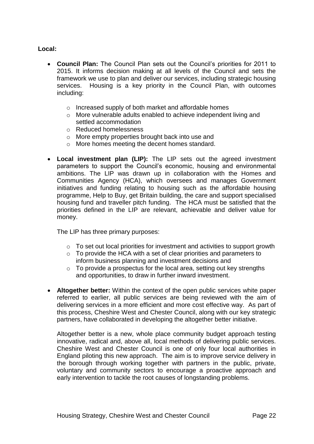## **Local:**

- **Council Plan:** The Council Plan sets out the Council's priorities for 2011 to 2015. It informs decision making at all levels of the Council and sets the framework we use to plan and deliver our services, including strategic housing services. Housing is a key priority in the Council Plan, with outcomes including:
	- o Increased supply of both market and affordable homes
	- o More vulnerable adults enabled to achieve independent living and settled accommodation
	- o Reduced homelessness
	- o More empty properties brought back into use and
	- o More homes meeting the decent homes standard.
- **Local investment plan (LIP):** The LIP sets out the agreed investment parameters to support the Council's economic, housing and environmental ambitions. The LIP was drawn up in collaboration with the Homes and Communities Agency (HCA), which oversees and manages Government initiatives and funding relating to housing such as the affordable housing programme, Help to Buy, get Britain building, the care and support specialised housing fund and traveller pitch funding. The HCA must be satisfied that the priorities defined in the LIP are relevant, achievable and deliver value for money.

The LIP has three primary purposes:

- o To set out local priorities for investment and activities to support growth
- $\circ$  To provide the HCA with a set of clear priorities and parameters to inform business planning and investment decisions and
- $\circ$  To provide a prospectus for the local area, setting out key strengths and opportunities, to draw in further inward investment.
- **Altogether better:** Within the context of the open public services white paper referred to earlier, all public services are being reviewed with the aim of delivering services in a more efficient and more cost effective way. As part of this process, Cheshire West and Chester Council, along with our key strategic partners, have collaborated in developing the altogether better initiative.

Altogether better is a new, whole place community budget approach testing innovative, radical and, above all, local methods of delivering public services. Cheshire West and Chester Council is one of only four local authorities in England piloting this new approach. The aim is to improve service delivery in the borough through working together with partners in the public, private, voluntary and community sectors to encourage a proactive approach and early intervention to tackle the root causes of longstanding problems.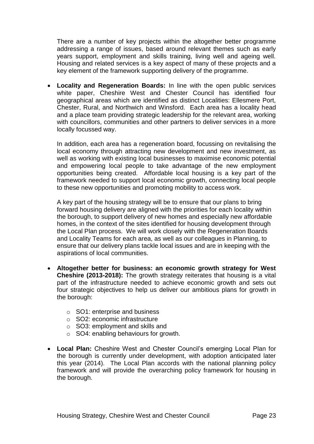There are a number of key projects within the altogether better programme addressing a range of issues, based around relevant themes such as early years support, employment and skills training, living well and ageing well. Housing and related services is a key aspect of many of these projects and a key element of the framework supporting delivery of the programme.

 **Locality and Regeneration Boards:** In line with the open public services white paper, Cheshire West and Chester Council has identified four geographical areas which are identified as distinct Localities: Ellesmere Port, Chester, Rural, and Northwich and Winsford. Each area has a locality head and a place team providing strategic leadership for the relevant area, working with councillors, communities and other partners to deliver services in a more locally focussed way.

In addition, each area has a regeneration board, focussing on revitalising the local economy through attracting new development and new investment, as well as working with existing local businesses to maximise economic potential and empowering local people to take advantage of the new employment opportunities being created. Affordable local housing is a key part of the framework needed to support local economic growth, connecting local people to these new opportunities and promoting mobility to access work.

A key part of the housing strategy will be to ensure that our plans to bring forward housing delivery are aligned with the priorities for each locality within the borough, to support delivery of new homes and especially new affordable homes, in the context of the sites identified for housing development through the Local Plan process. We will work closely with the Regeneration Boards and Locality Teams for each area, as well as our colleagues in Planning, to ensure that our delivery plans tackle local issues and are in keeping with the aspirations of local communities.

- **Altogether better for business: an economic growth strategy for West Cheshire (2013-2018):** The growth strategy reiterates that housing is a vital part of the infrastructure needed to achieve economic growth and sets out four strategic objectives to help us deliver our ambitious plans for growth in the borough:
	- o SO1: enterprise and business
	- o SO2: economic infrastructure
	- o SO3: employment and skills and
	- o SO4: enabling behaviours for growth.
- **Local Plan:** Cheshire West and Chester Council's emerging Local Plan for the borough is currently under development, with adoption anticipated later this year (2014). The Local Plan accords with the national planning policy framework and will provide the overarching policy framework for housing in the borough.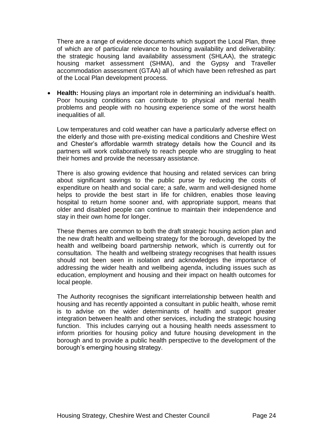There are a range of evidence documents which support the Local Plan, three of which are of particular relevance to housing availability and deliverability: the strategic housing land availability assessment (SHLAA), the strategic housing market assessment (SHMA), and the Gypsy and Traveller accommodation assessment (GTAA) all of which have been refreshed as part of the Local Plan development process.

 **Health:** Housing plays an important role in determining an individual's health. Poor housing conditions can contribute to physical and mental health problems and people with no housing experience some of the worst health inequalities of all.

Low temperatures and cold weather can have a particularly adverse effect on the elderly and those with pre-existing medical conditions and Cheshire West and Chester's affordable warmth strategy details how the Council and its partners will work collaboratively to reach people who are struggling to heat their homes and provide the necessary assistance.

There is also growing evidence that housing and related services can bring about significant savings to the public purse by reducing the costs of expenditure on health and social care; a safe, warm and well-designed home helps to provide the best start in life for children, enables those leaving hospital to return home sooner and, with appropriate support, means that older and disabled people can continue to maintain their independence and stay in their own home for longer.

These themes are common to both the draft strategic housing action plan and the new draft health and wellbeing strategy for the borough, developed by the health and wellbeing board partnership network, which is currently out for consultation. The health and wellbeing strategy recognises that health issues should not been seen in isolation and acknowledges the importance of addressing the wider health and wellbeing agenda, including issues such as education, employment and housing and their impact on health outcomes for local people.

The Authority recognises the significant interrelationship between health and housing and has recently appointed a consultant in public health, whose remit is to advise on the wider determinants of health and support greater integration between health and other services, including the strategic housing function. This includes carrying out a housing health needs assessment to inform priorities for housing policy and future housing development in the borough and to provide a public health perspective to the development of the borough's emerging housing strategy.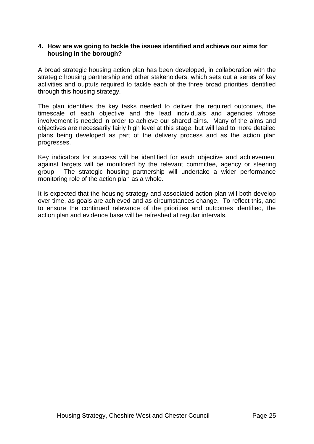## **4. How are we going to tackle the issues identified and achieve our aims for housing in the borough?**

A broad strategic housing action plan has been developed, in collaboration with the strategic housing partnership and other stakeholders, which sets out a series of key activities and ouptuts required to tackle each of the three broad priorities identified through this housing strategy.

The plan identifies the key tasks needed to deliver the required outcomes, the timescale of each objective and the lead individuals and agencies whose involvement is needed in order to achieve our shared aims. Many of the aims and objectives are necessarily fairly high level at this stage, but will lead to more detailed plans being developed as part of the delivery process and as the action plan progresses.

Key indicators for success will be identified for each objective and achievement against targets will be monitored by the relevant committee, agency or steering group. The strategic housing partnership will undertake a wider performance monitoring role of the action plan as a whole.

It is expected that the housing strategy and associated action plan will both develop over time, as goals are achieved and as circumstances change. To reflect this, and to ensure the continued relevance of the priorities and outcomes identified, the action plan and evidence base will be refreshed at regular intervals.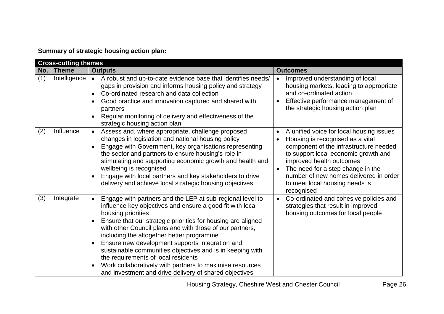# **Summary of strategic housing action plan:**

|     | <b>Cross-cutting themes</b> |                                                                                                                                                                                                                                                                                                                                                                                                                                                                                                                                                                                                                              |                                                                                                                                                                                                                                                                                                                                                                  |  |
|-----|-----------------------------|------------------------------------------------------------------------------------------------------------------------------------------------------------------------------------------------------------------------------------------------------------------------------------------------------------------------------------------------------------------------------------------------------------------------------------------------------------------------------------------------------------------------------------------------------------------------------------------------------------------------------|------------------------------------------------------------------------------------------------------------------------------------------------------------------------------------------------------------------------------------------------------------------------------------------------------------------------------------------------------------------|--|
| No. | ∣ Theme                     | <b>Outputs</b>                                                                                                                                                                                                                                                                                                                                                                                                                                                                                                                                                                                                               | <b>Outcomes</b>                                                                                                                                                                                                                                                                                                                                                  |  |
| (1) | Intelligence                | A robust and up-to-date evidence base that identifies needs/<br>$\bullet$<br>gaps in provision and informs housing policy and strategy<br>Co-ordinated research and data collection<br>$\bullet$<br>Good practice and innovation captured and shared with<br>partners<br>Regular monitoring of delivery and effectiveness of the<br>$\bullet$<br>strategic housing action plan                                                                                                                                                                                                                                               | Improved understanding of local<br>$\bullet$<br>housing markets, leading to appropriate<br>and co-ordinated action<br>Effective performance management of<br>the strategic housing action plan                                                                                                                                                                   |  |
| (2) | Influence                   | Assess and, where appropriate, challenge proposed<br>$\bullet$<br>changes in legislation and national housing policy<br>Engage with Government, key organisations representing<br>the sector and partners to ensure housing's role in<br>stimulating and supporting economic growth and health and<br>wellbeing is recognised<br>Engage with local partners and key stakeholders to drive<br>delivery and achieve local strategic housing objectives                                                                                                                                                                         | A unified voice for local housing issues<br>$\bullet$<br>Housing is recognised as a vital<br>$\bullet$<br>component of the infrastructure needed<br>to support local economic growth and<br>improved health outcomes<br>The need for a step change in the<br>$\bullet$<br>number of new homes delivered in order<br>to meet local housing needs is<br>recognised |  |
| (3) | Integrate                   | Engage with partners and the LEP at sub-regional level to<br>$\bullet$<br>influence key objectives and ensure a good fit with local<br>housing priorities<br>Ensure that our strategic priorities for housing are aligned<br>$\bullet$<br>with other Council plans and with those of our partners,<br>including the altogether better programme<br>Ensure new development supports integration and<br>sustainable communities objectives and is in keeping with<br>the requirements of local residents<br>Work collaboratively with partners to maximise resources<br>and investment and drive delivery of shared objectives | Co-ordinated and cohesive policies and<br>$\bullet$<br>strategies that result in improved<br>housing outcomes for local people                                                                                                                                                                                                                                   |  |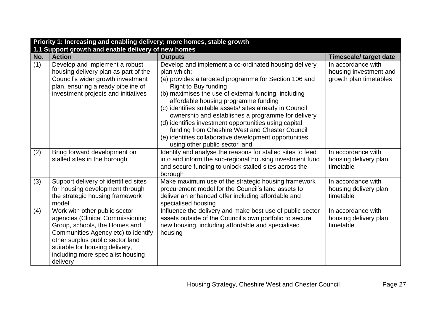| Priority 1: Increasing and enabling delivery; more homes, stable growth |                                                     |                                                            |                               |
|-------------------------------------------------------------------------|-----------------------------------------------------|------------------------------------------------------------|-------------------------------|
|                                                                         | 1.1 Support growth and enable delivery of new homes |                                                            |                               |
| No.                                                                     | <b>Action</b>                                       | <b>Outputs</b>                                             | <b>Timescale/ target date</b> |
| (1)                                                                     | Develop and implement a robust                      | Develop and implement a co-ordinated housing delivery      | In accordance with            |
|                                                                         | housing delivery plan as part of the                | plan which:                                                | housing investment and        |
|                                                                         | Council's wider growth investment                   | (a) provides a targeted programme for Section 106 and      | growth plan timetables        |
|                                                                         | plan, ensuring a ready pipeline of                  | Right to Buy funding                                       |                               |
|                                                                         | investment projects and initiatives                 | (b) maximises the use of external funding, including       |                               |
|                                                                         |                                                     | affordable housing programme funding                       |                               |
|                                                                         |                                                     | (c) identifies suitable assets/ sites already in Council   |                               |
|                                                                         |                                                     | ownership and establishes a programme for delivery         |                               |
|                                                                         |                                                     | (d) identifies investment opportunities using capital      |                               |
|                                                                         |                                                     | funding from Cheshire West and Chester Council             |                               |
|                                                                         |                                                     | (e) identifies collaborative development opportunities     |                               |
|                                                                         |                                                     | using other public sector land                             |                               |
| (2)                                                                     | Bring forward development on                        | Identify and analyse the reasons for stalled sites to feed | In accordance with            |
|                                                                         | stalled sites in the borough                        | into and inform the sub-regional housing investment fund   | housing delivery plan         |
|                                                                         |                                                     | and secure funding to unlock stalled sites across the      | timetable                     |
|                                                                         |                                                     | borough                                                    |                               |
| (3)                                                                     | Support delivery of identified sites                | Make maximum use of the strategic housing framework        | In accordance with            |
|                                                                         | for housing development through                     | procurement model for the Council's land assets to         | housing delivery plan         |
|                                                                         | the strategic housing framework                     | deliver an enhanced offer including affordable and         | timetable                     |
|                                                                         | model                                               | specialised housing                                        |                               |
| (4)                                                                     | Work with other public sector                       | Influence the delivery and make best use of public sector  | In accordance with            |
|                                                                         | agencies (Clinical Commissioning                    | assets outside of the Council's own portfolio to secure    | housing delivery plan         |
|                                                                         | Group, schools, the Homes and                       | new housing, including affordable and specialised          | timetable                     |
|                                                                         | Communities Agency etc) to identify                 | housing                                                    |                               |
|                                                                         | other surplus public sector land                    |                                                            |                               |
|                                                                         | suitable for housing delivery,                      |                                                            |                               |
|                                                                         | including more specialist housing                   |                                                            |                               |
|                                                                         | delivery                                            |                                                            |                               |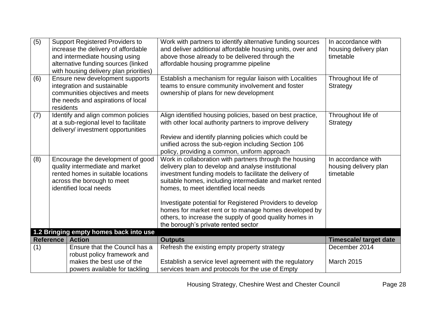| $\overline{(5)}$<br>(6) |                  | <b>Support Registered Providers to</b><br>increase the delivery of affordable<br>and intermediate housing using<br>alternative funding sources (linked<br>with housing delivery plan priorities)<br>Ensure new development supports | Work with partners to identify alternative funding sources<br>and deliver additional affordable housing units, over and<br>above those already to be delivered through the<br>affordable housing programme pipeline<br>Establish a mechanism for regular liaison with Localities                                                                                                                                                                                                                      | In accordance with<br>housing delivery plan<br>timetable<br>Throughout life of |
|-------------------------|------------------|-------------------------------------------------------------------------------------------------------------------------------------------------------------------------------------------------------------------------------------|-------------------------------------------------------------------------------------------------------------------------------------------------------------------------------------------------------------------------------------------------------------------------------------------------------------------------------------------------------------------------------------------------------------------------------------------------------------------------------------------------------|--------------------------------------------------------------------------------|
|                         | residents        | integration and sustainable<br>communities objectives and meets<br>the needs and aspirations of local                                                                                                                               | teams to ensure community involvement and foster<br>ownership of plans for new development                                                                                                                                                                                                                                                                                                                                                                                                            | Strategy                                                                       |
| (7)                     |                  | Identify and align common policies<br>at a sub-regional level to facilitate<br>delivery/ investment opportunities                                                                                                                   | Align identified housing policies, based on best practice,<br>with other local authority partners to improve delivery<br>Review and identify planning policies which could be<br>unified across the sub-region including Section 106<br>policy, providing a common, uniform approach                                                                                                                                                                                                                  | Throughout life of<br>Strategy                                                 |
| (8)                     |                  | Encourage the development of good<br>quality intermediate and market<br>rented homes in suitable locations<br>across the borough to meet<br>identified local needs                                                                  | Work in collaboration with partners through the housing<br>delivery plan to develop and analyse institutional<br>investment funding models to facilitate the delivery of<br>suitable homes, including intermediate and market rented<br>homes, to meet identified local needs<br>Investigate potential for Registered Providers to develop<br>homes for market rent or to manage homes developed by<br>others, to increase the supply of good quality homes in<br>the borough's private rented sector | In accordance with<br>housing delivery plan<br>timetable                       |
|                         |                  | 1.2 Bringing empty homes back into use                                                                                                                                                                                              |                                                                                                                                                                                                                                                                                                                                                                                                                                                                                                       |                                                                                |
|                         | <b>Reference</b> | <b>Action</b>                                                                                                                                                                                                                       | <b>Outputs</b>                                                                                                                                                                                                                                                                                                                                                                                                                                                                                        | <b>Timescale/ target date</b>                                                  |
| (1)                     |                  | Ensure that the Council has a<br>robust policy framework and<br>makes the best use of the<br>powers available for tackling                                                                                                          | Refresh the existing empty property strategy<br>Establish a service level agreement with the regulatory<br>services team and protocols for the use of Empty                                                                                                                                                                                                                                                                                                                                           | December 2014<br><b>March 2015</b>                                             |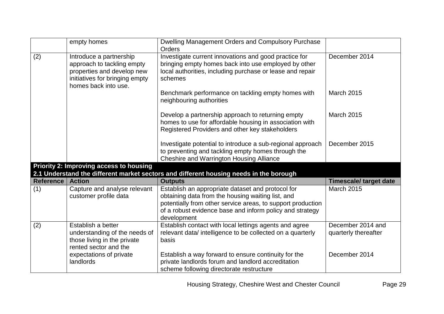|                           | empty homes                                                                                                                                   | Dwelling Management Orders and Compulsory Purchase<br>Orders                                                                                                                                                                                     |                                           |
|---------------------------|-----------------------------------------------------------------------------------------------------------------------------------------------|--------------------------------------------------------------------------------------------------------------------------------------------------------------------------------------------------------------------------------------------------|-------------------------------------------|
| (2)                       | Introduce a partnership<br>approach to tackling empty<br>properties and develop new<br>initiatives for bringing empty<br>homes back into use. | Investigate current innovations and good practice for<br>bringing empty homes back into use employed by other<br>local authorities, including purchase or lease and repair<br>schemes                                                            | December 2014                             |
|                           |                                                                                                                                               | Benchmark performance on tackling empty homes with<br>neighbouring authorities                                                                                                                                                                   | <b>March 2015</b>                         |
|                           |                                                                                                                                               | Develop a partnership approach to returning empty<br>homes to use for affordable housing in association with<br>Registered Providers and other key stakeholders                                                                                  | <b>March 2015</b>                         |
|                           |                                                                                                                                               | Investigate potential to introduce a sub-regional approach<br>to preventing and tackling empty homes through the<br><b>Cheshire and Warrington Housing Alliance</b>                                                                              | December 2015                             |
|                           | <b>Priority 2: Improving access to housing</b>                                                                                                | 2.1 Understand the different market sectors and different housing needs in the borough                                                                                                                                                           |                                           |
| <b>Reference   Action</b> |                                                                                                                                               | <b>Outputs</b>                                                                                                                                                                                                                                   | <b>Timescale/ target date</b>             |
| (1)                       | Capture and analyse relevant<br>customer profile data                                                                                         | Establish an appropriate dataset and protocol for<br>obtaining data from the housing waiting list, and<br>potentially from other service areas, to support production<br>of a robust evidence base and inform policy and strategy<br>development | March 2015                                |
| (2)                       | Establish a better<br>understanding of the needs of<br>those living in the private<br>rented sector and the                                   | Establish contact with local lettings agents and agree<br>relevant data/ intelligence to be collected on a quarterly<br>basis                                                                                                                    | December 2014 and<br>quarterly thereafter |
|                           | expectations of private<br>landlords                                                                                                          | Establish a way forward to ensure continuity for the<br>private landlords forum and landlord accreditation<br>scheme following directorate restructure                                                                                           | December 2014                             |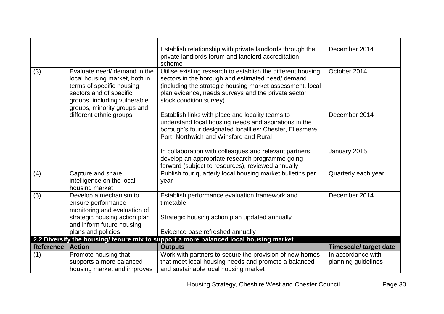|                  |                                                                                                                                                                                      | Establish relationship with private landlords through the<br>private landlords forum and landlord accreditation<br>scheme                                                                                                                                       | December 2014                             |
|------------------|--------------------------------------------------------------------------------------------------------------------------------------------------------------------------------------|-----------------------------------------------------------------------------------------------------------------------------------------------------------------------------------------------------------------------------------------------------------------|-------------------------------------------|
| (3)              | Evaluate need/ demand in the<br>local housing market, both in<br>terms of specific housing<br>sectors and of specific<br>groups, including vulnerable<br>groups, minority groups and | Utilise existing research to establish the different housing<br>sectors in the borough and estimated need/demand<br>(including the strategic housing market assessment, local<br>plan evidence, needs surveys and the private sector<br>stock condition survey) | October 2014                              |
|                  | different ethnic groups.                                                                                                                                                             | Establish links with place and locality teams to<br>understand local housing needs and aspirations in the<br>borough's four designated localities: Chester, Ellesmere<br>Port, Northwich and Winsford and Rural                                                 | December 2014                             |
|                  |                                                                                                                                                                                      | In collaboration with colleagues and relevant partners,<br>develop an appropriate research programme going<br>forward (subject to resources), reviewed annually                                                                                                 | January 2015                              |
| (4)              | Capture and share<br>intelligence on the local<br>housing market                                                                                                                     | Publish four quarterly local housing market bulletins per<br>year                                                                                                                                                                                               | Quarterly each year                       |
| (5)              | Develop a mechanism to<br>ensure performance<br>monitoring and evaluation of<br>strategic housing action plan<br>and inform future housing<br>plans and policies                     | Establish performance evaluation framework and<br>timetable<br>Strategic housing action plan updated annually<br>Evidence base refreshed annually                                                                                                               | December 2014                             |
|                  |                                                                                                                                                                                      | 2.2 Diversify the housing/ tenure mix to support a more balanced local housing market                                                                                                                                                                           |                                           |
| <b>Reference</b> | <b>Action</b>                                                                                                                                                                        | <b>Outputs</b>                                                                                                                                                                                                                                                  | <b>Timescale/ target date</b>             |
| (1)              | Promote housing that<br>supports a more balanced<br>housing market and improves                                                                                                      | Work with partners to secure the provision of new homes<br>that meet local housing needs and promote a balanced<br>and sustainable local housing market                                                                                                         | In accordance with<br>planning guidelines |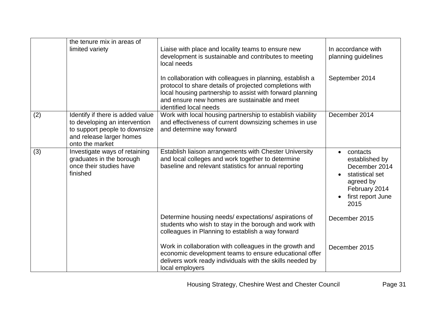|     | the tenure mix in areas of<br>limited variety                                                                                                     | Liaise with place and locality teams to ensure new<br>development is sustainable and contributes to meeting<br>local needs<br>In collaboration with colleagues in planning, establish a<br>protocol to share details of projected completions with<br>local housing partnership to assist with forward planning<br>and ensure new homes are sustainable and meet | In accordance with<br>planning guidelines<br>September 2014                                                                            |
|-----|---------------------------------------------------------------------------------------------------------------------------------------------------|------------------------------------------------------------------------------------------------------------------------------------------------------------------------------------------------------------------------------------------------------------------------------------------------------------------------------------------------------------------|----------------------------------------------------------------------------------------------------------------------------------------|
| (2) | Identify if there is added value<br>to developing an intervention<br>to support people to downsize<br>and release larger homes<br>onto the market | identified local needs<br>Work with local housing partnership to establish viability<br>and effectiveness of current downsizing schemes in use<br>and determine way forward                                                                                                                                                                                      | December 2014                                                                                                                          |
| (3) | Investigate ways of retaining<br>graduates in the borough<br>once their studies have<br>finished                                                  | Establish liaison arrangements with Chester University<br>and local colleges and work together to determine<br>baseline and relevant statistics for annual reporting                                                                                                                                                                                             | contacts<br>$\bullet$<br>established by<br>December 2014<br>statistical set<br>agreed by<br>February 2014<br>first report June<br>2015 |
|     |                                                                                                                                                   | Determine housing needs/expectations/aspirations of<br>students who wish to stay in the borough and work with<br>colleagues in Planning to establish a way forward                                                                                                                                                                                               | December 2015                                                                                                                          |
|     |                                                                                                                                                   | Work in collaboration with colleagues in the growth and<br>economic development teams to ensure educational offer<br>delivers work ready individuals with the skills needed by<br>local employers                                                                                                                                                                | December 2015                                                                                                                          |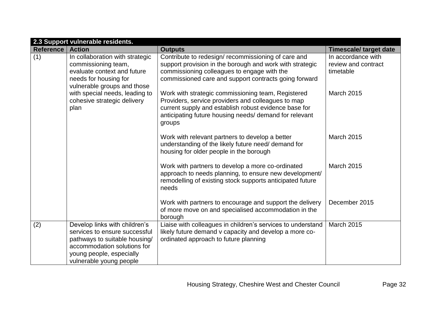|           | 2.3 Support vulnerable residents.                                                                                                                                                     |                                                                                                                                                                                                                                       |                                                        |  |
|-----------|---------------------------------------------------------------------------------------------------------------------------------------------------------------------------------------|---------------------------------------------------------------------------------------------------------------------------------------------------------------------------------------------------------------------------------------|--------------------------------------------------------|--|
| Reference | <b>Action</b>                                                                                                                                                                         | <b>Outputs</b>                                                                                                                                                                                                                        | <b>Timescale/ target date</b>                          |  |
| (1)       | In collaboration with strategic<br>commissioning team,<br>evaluate context and future<br>needs for housing for<br>vulnerable groups and those                                         | Contribute to redesign/ recommissioning of care and<br>support provision in the borough and work with strategic<br>commissioning colleagues to engage with the<br>commissioned care and support contracts going forward               | In accordance with<br>review and contract<br>timetable |  |
|           | with special needs, leading to<br>cohesive strategic delivery<br>plan                                                                                                                 | Work with strategic commissioning team, Registered<br>Providers, service providers and colleagues to map<br>current supply and establish robust evidence base for<br>anticipating future housing needs/ demand for relevant<br>groups | <b>March 2015</b>                                      |  |
|           |                                                                                                                                                                                       | Work with relevant partners to develop a better<br>understanding of the likely future need/ demand for<br>housing for older people in the borough                                                                                     | March 2015                                             |  |
|           |                                                                                                                                                                                       | Work with partners to develop a more co-ordinated<br>approach to needs planning, to ensure new development/<br>remodelling of existing stock supports anticipated future<br>needs                                                     | <b>March 2015</b>                                      |  |
|           |                                                                                                                                                                                       | Work with partners to encourage and support the delivery<br>of more move on and specialised accommodation in the<br>borough                                                                                                           | December 2015                                          |  |
| (2)       | Develop links with children's<br>services to ensure successful<br>pathways to suitable housing/<br>accommodation solutions for<br>young people, especially<br>vulnerable young people | Liaise with colleagues in children's services to understand<br>likely future demand v capacity and develop a more co-<br>ordinated approach to future planning                                                                        | <b>March 2015</b>                                      |  |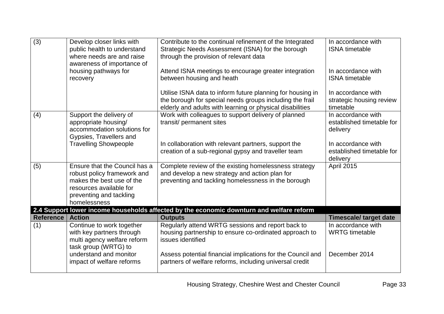| $\overline{(3)}$ | Develop closer links with<br>public health to understand<br>where needs are and raise<br>awareness of importance of<br>housing pathways for                     | Contribute to the continual refinement of the Integrated<br>Strategic Needs Assessment (ISNA) for the borough<br>through the provision of relevant data<br>Attend ISNA meetings to encourage greater integration | In accordance with<br><b>ISNA</b> timetable<br>In accordance with            |
|------------------|-----------------------------------------------------------------------------------------------------------------------------------------------------------------|------------------------------------------------------------------------------------------------------------------------------------------------------------------------------------------------------------------|------------------------------------------------------------------------------|
|                  | recovery                                                                                                                                                        | between housing and heath                                                                                                                                                                                        | <b>ISNA</b> timetable                                                        |
|                  |                                                                                                                                                                 | Utilise ISNA data to inform future planning for housing in<br>the borough for special needs groups including the frail<br>elderly and adults with learning or physical disabilities                              | In accordance with<br>strategic housing review<br>timetable                  |
| (4)              | Support the delivery of<br>appropriate housing/<br>accommodation solutions for<br>Gypsies, Travellers and                                                       | Work with colleagues to support delivery of planned<br>transit/ permanent sites                                                                                                                                  | In accordance with<br>established timetable for<br>delivery                  |
|                  | <b>Travelling Showpeople</b>                                                                                                                                    | In collaboration with relevant partners, support the<br>creation of a sub-regional gypsy and traveller team                                                                                                      | In accordance with<br>established timetable for<br>delivery                  |
| (5)              | Ensure that the Council has a<br>robust policy framework and<br>makes the best use of the<br>resources available for<br>preventing and tackling<br>homelessness | Complete review of the existing homelessness strategy<br>and develop a new strategy and action plan for<br>preventing and tackling homelessness in the borough                                                   | April 2015                                                                   |
|                  |                                                                                                                                                                 | 2.4 Support lower income households affected by the economic downturn and welfare reform                                                                                                                         |                                                                              |
| Reference<br>(1) | <b>Action</b><br>Continue to work together<br>with key partners through<br>multi agency welfare reform                                                          | <b>Outputs</b><br>Regularly attend WRTG sessions and report back to<br>housing partnership to ensure co-ordinated approach to<br>issues identified                                                               | <b>Timescale/ target date</b><br>In accordance with<br><b>WRTG</b> timetable |
|                  | task group (WRTG) to<br>understand and monitor<br>impact of welfare reforms                                                                                     | Assess potential financial implications for the Council and<br>partners of welfare reforms, including universal credit                                                                                           | December 2014                                                                |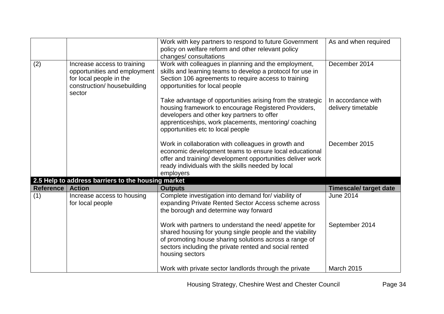|                  |                                                                                                                                 | Work with key partners to respond to future Government<br>policy on welfare reform and other relevant policy<br>changes/consultations                                                                                                                          | As and when required                     |
|------------------|---------------------------------------------------------------------------------------------------------------------------------|----------------------------------------------------------------------------------------------------------------------------------------------------------------------------------------------------------------------------------------------------------------|------------------------------------------|
| (2)              | Increase access to training<br>opportunities and employment<br>for local people in the<br>construction/ housebuilding<br>sector | Work with colleagues in planning and the employment,<br>skills and learning teams to develop a protocol for use in<br>Section 106 agreements to require access to training<br>opportunities for local people                                                   | December 2014                            |
|                  |                                                                                                                                 | Take advantage of opportunities arising from the strategic<br>housing framework to encourage Registered Providers,<br>developers and other key partners to offer<br>apprenticeships, work placements, mentoring/ coaching<br>opportunities etc to local people | In accordance with<br>delivery timetable |
|                  |                                                                                                                                 | Work in collaboration with colleagues in growth and<br>economic development teams to ensure local educational<br>offer and training/ development opportunities deliver work<br>ready individuals with the skills needed by local<br>employers                  | December 2015                            |
|                  | 2.5 Help to address barriers to the housing market                                                                              |                                                                                                                                                                                                                                                                |                                          |
| <b>Reference</b> | <b>Action</b>                                                                                                                   | <b>Outputs</b>                                                                                                                                                                                                                                                 | <b>Timescale/ target date</b>            |
| (1)              | Increase access to housing<br>for local people                                                                                  | Complete investigation into demand for/viability of<br>expanding Private Rented Sector Access scheme across<br>the borough and determine way forward                                                                                                           | <b>June 2014</b>                         |
|                  |                                                                                                                                 | Work with partners to understand the need/ appetite for<br>shared housing for young single people and the viability<br>of promoting house sharing solutions across a range of<br>sectors including the private rented and social rented<br>housing sectors     | September 2014                           |
|                  |                                                                                                                                 | Work with private sector landlords through the private                                                                                                                                                                                                         | <b>March 2015</b>                        |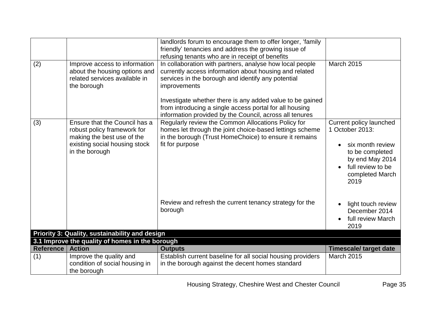|                  |                                                                                                                                               | landlords forum to encourage them to offer longer, 'family<br>friendly' tenancies and address the growing issue of<br>refusing tenants who are in receipt of benefits                                                                                                                                                                                                       |                                                                                                                                                      |
|------------------|-----------------------------------------------------------------------------------------------------------------------------------------------|-----------------------------------------------------------------------------------------------------------------------------------------------------------------------------------------------------------------------------------------------------------------------------------------------------------------------------------------------------------------------------|------------------------------------------------------------------------------------------------------------------------------------------------------|
| (2)              | Improve access to information<br>about the housing options and<br>related services available in<br>the borough                                | In collaboration with partners, analyse how local people<br>currently access information about housing and related<br>services in the borough and identify any potential<br>improvements<br>Investigate whether there is any added value to be gained<br>from introducing a single access portal for all housing<br>information provided by the Council, across all tenures | <b>March 2015</b>                                                                                                                                    |
| (3)              | Ensure that the Council has a<br>robust policy framework for<br>making the best use of the<br>existing social housing stock<br>in the borough | Regularly review the Common Allocations Policy for<br>homes let through the joint choice-based lettings scheme<br>in the borough (Trust HomeChoice) to ensure it remains<br>fit for purpose                                                                                                                                                                                 | Current policy launched<br>1 October 2013:<br>six month review<br>to be completed<br>by end May 2014<br>full review to be<br>completed March<br>2019 |
|                  |                                                                                                                                               | Review and refresh the current tenancy strategy for the<br>borough                                                                                                                                                                                                                                                                                                          | light touch review<br>December 2014<br>full review March<br>2019                                                                                     |
|                  | Priority 3: Quality, sustainability and design                                                                                                |                                                                                                                                                                                                                                                                                                                                                                             |                                                                                                                                                      |
| <b>Reference</b> | 3.1 Improve the quality of homes in the borough<br><b>Action</b>                                                                              | <b>Outputs</b>                                                                                                                                                                                                                                                                                                                                                              | <b>Timescale/ target date</b>                                                                                                                        |
| (1)              | Improve the quality and<br>condition of social housing in<br>the borough                                                                      | Establish current baseline for all social housing providers<br>in the borough against the decent homes standard                                                                                                                                                                                                                                                             | March 2015                                                                                                                                           |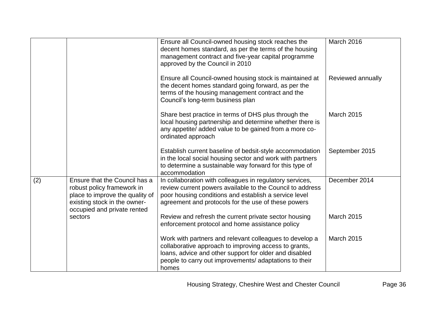|     |                                                                                                                                                               | Ensure all Council-owned housing stock reaches the<br>decent homes standard, as per the terms of the housing<br>management contract and five-year capital programme<br>approved by the Council in 2010                                        | March 2016        |
|-----|---------------------------------------------------------------------------------------------------------------------------------------------------------------|-----------------------------------------------------------------------------------------------------------------------------------------------------------------------------------------------------------------------------------------------|-------------------|
|     |                                                                                                                                                               | Ensure all Council-owned housing stock is maintained at<br>the decent homes standard going forward, as per the<br>terms of the housing management contract and the<br>Council's long-term business plan                                       | Reviewed annually |
|     |                                                                                                                                                               | Share best practice in terms of DHS plus through the<br>local housing partnership and determine whether there is<br>any appetite/ added value to be gained from a more co-<br>ordinated approach                                              | <b>March 2015</b> |
|     |                                                                                                                                                               | Establish current baseline of bedsit-style accommodation<br>in the local social housing sector and work with partners<br>to determine a sustainable way forward for this type of<br>accommodation                                             | September 2015    |
| (2) | Ensure that the Council has a<br>robust policy framework in<br>place to improve the quality of<br>existing stock in the owner-<br>occupied and private rented | In collaboration with colleagues in regulatory services,<br>review current powers available to the Council to address<br>poor housing conditions and establish a service level<br>agreement and protocols for the use of these powers         | December 2014     |
|     | sectors                                                                                                                                                       | Review and refresh the current private sector housing<br>enforcement protocol and home assistance policy                                                                                                                                      | <b>March 2015</b> |
|     |                                                                                                                                                               | Work with partners and relevant colleagues to develop a<br>collaborative approach to improving access to grants,<br>loans, advice and other support for older and disabled<br>people to carry out improvements/ adaptations to their<br>homes | <b>March 2015</b> |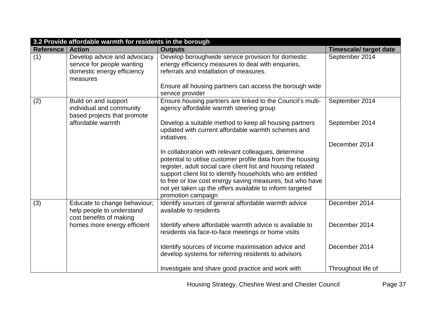| 3.2 Provide affordable warmth for residents in the borough |                                                                                                     |                                                                                                                                                                                                                |                               |
|------------------------------------------------------------|-----------------------------------------------------------------------------------------------------|----------------------------------------------------------------------------------------------------------------------------------------------------------------------------------------------------------------|-------------------------------|
| Reference   Action                                         |                                                                                                     | <b>Outputs</b>                                                                                                                                                                                                 | <b>Timescale/ target date</b> |
| (1)                                                        | Develop advice and advocacy<br>service for people wanting<br>domestic energy efficiency<br>measures | Develop boroughwide service provision for domestic<br>energy efficiency measures to deal with enquiries,<br>referrals and installation of measures.<br>Ensure all housing partners can access the borough wide | September 2014                |
|                                                            |                                                                                                     | service provider                                                                                                                                                                                               |                               |
| (2)                                                        | Build on and support<br>individual and community<br>based projects that promote                     | Ensure housing partners are linked to the Council's multi-<br>agency affordable warmth steering group                                                                                                          | September 2014                |
|                                                            | affordable warmth                                                                                   | Develop a suitable method to keep all housing partners<br>updated with current affordable warmth schemes and<br>initiatives                                                                                    | September 2014                |
|                                                            |                                                                                                     |                                                                                                                                                                                                                | December 2014                 |
|                                                            |                                                                                                     | In collaboration with relevant colleagues, determine<br>potential to utilise customer profile data from the housing                                                                                            |                               |
|                                                            |                                                                                                     | register, adult social care client list and housing related<br>support client list to identify households who are entitled                                                                                     |                               |
|                                                            |                                                                                                     | to free or low cost energy saving measures, but who have<br>not yet taken up the offers available to inform targeted<br>promotion campaign                                                                     |                               |
| (3)                                                        | Educate to change behaviour;<br>help people to understand<br>cost benefits of making                | Identify sources of general affordable warmth advice<br>available to residents                                                                                                                                 | December 2014                 |
|                                                            | homes more energy efficient                                                                         | Identify where affordable warmth advice is available to<br>residents via face-to-face meetings or home visits                                                                                                  | December 2014                 |
|                                                            |                                                                                                     | Identify sources of income maximisation advice and<br>develop systems for referring residents to advisors                                                                                                      | December 2014                 |
|                                                            |                                                                                                     | Investigate and share good practice and work with                                                                                                                                                              | Throughout life of            |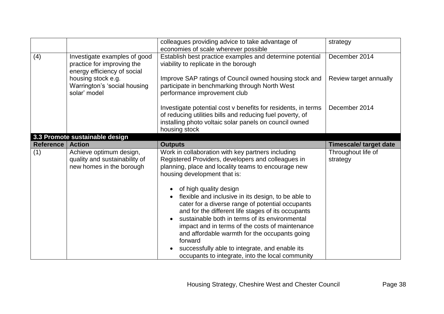|                  |                                                                                                                                                                 | colleagues providing advice to take advantage of<br>economies of scale wherever possible                                                                                                                                                                                                                                                                                                                                                                                                                                                                                                                                                                         | strategy                                |
|------------------|-----------------------------------------------------------------------------------------------------------------------------------------------------------------|------------------------------------------------------------------------------------------------------------------------------------------------------------------------------------------------------------------------------------------------------------------------------------------------------------------------------------------------------------------------------------------------------------------------------------------------------------------------------------------------------------------------------------------------------------------------------------------------------------------------------------------------------------------|-----------------------------------------|
| (4)              | Investigate examples of good<br>practice for improving the<br>energy efficiency of social<br>housing stock e.g.<br>Warrington's 'social housing<br>solar' model | Establish best practice examples and determine potential<br>viability to replicate in the borough<br>Improve SAP ratings of Council owned housing stock and<br>participate in benchmarking through North West<br>performance improvement club                                                                                                                                                                                                                                                                                                                                                                                                                    | December 2014<br>Review target annually |
|                  |                                                                                                                                                                 | Investigate potential cost v benefits for residents, in terms<br>of reducing utilities bills and reducing fuel poverty, of<br>installing photo voltaic solar panels on council owned<br>housing stock                                                                                                                                                                                                                                                                                                                                                                                                                                                            | December 2014                           |
|                  | 3.3 Promote sustainable design                                                                                                                                  |                                                                                                                                                                                                                                                                                                                                                                                                                                                                                                                                                                                                                                                                  |                                         |
| <b>Reference</b> | <b>Action</b>                                                                                                                                                   | <b>Outputs</b>                                                                                                                                                                                                                                                                                                                                                                                                                                                                                                                                                                                                                                                   | <b>Timescale/ target date</b>           |
| (1)              | Achieve optimum design,<br>quality and sustainability of<br>new homes in the borough                                                                            | Work in collaboration with key partners including<br>Registered Providers, developers and colleagues in<br>planning, place and locality teams to encourage new<br>housing development that is:<br>of high quality design<br>flexible and inclusive in its design, to be able to<br>cater for a diverse range of potential occupants<br>and for the different life stages of its occupants<br>sustainable both in terms of its environmental<br>impact and in terms of the costs of maintenance<br>and affordable warmth for the occupants going<br>forward<br>successfully able to integrate, and enable its<br>occupants to integrate, into the local community | Throughout life of<br>strategy          |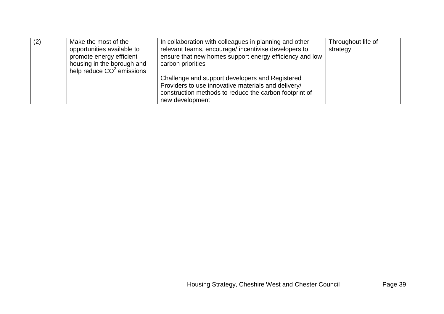| (2) | Make the most of the        | In collaboration with colleagues in planning and other  | Throughout life of |
|-----|-----------------------------|---------------------------------------------------------|--------------------|
|     | opportunities available to  | relevant teams, encourage/incentivise developers to     | strategy           |
|     | promote energy efficient    | ensure that new homes support energy efficiency and low |                    |
|     | housing in the borough and  | carbon priorities                                       |                    |
|     | help reduce $CO2$ emissions |                                                         |                    |
|     |                             | Challenge and support developers and Registered         |                    |
|     |                             | Providers to use innovative materials and delivery/     |                    |
|     |                             | construction methods to reduce the carbon footprint of  |                    |
|     |                             | new development                                         |                    |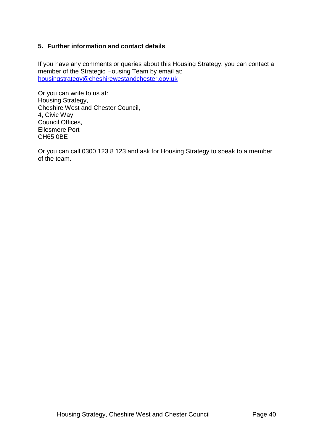## <span id="page-40-0"></span>**5. Further information and contact details**

If you have any comments or queries about this Housing Strategy, you can contact a member of the Strategic Housing Team by email at: [housingstrategy@cheshirewestandchester.gov.uk](mailto:housingstrategy@cheshirewestandchester.gov.uk)

Or you can write to us at: Housing Strategy, Cheshire West and Chester Council, 4, Civic Way, Council Offices, Ellesmere Port CH65 0BE

Or you can call 0300 123 8 123 and ask for Housing Strategy to speak to a member of the team.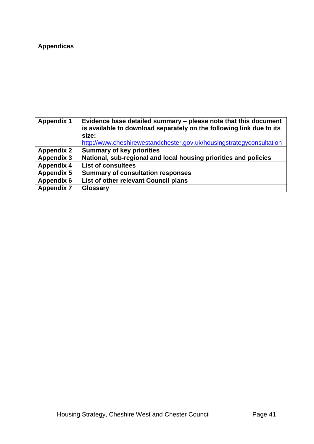# <span id="page-41-0"></span>**Appendices**

<span id="page-41-1"></span>

| <b>Appendix 1</b> | Evidence base detailed summary – please note that this document<br>is available to download separately on the following link due to its<br>size:<br>http://www.cheshirewestandchester.gov.uk/housingstrategyconsultation |
|-------------------|--------------------------------------------------------------------------------------------------------------------------------------------------------------------------------------------------------------------------|
| <b>Appendix 2</b> | <b>Summary of key priorities</b>                                                                                                                                                                                         |
| <b>Appendix 3</b> | National, sub-regional and local housing priorities and policies                                                                                                                                                         |
| <b>Appendix 4</b> | <b>List of consultees</b>                                                                                                                                                                                                |
| <b>Appendix 5</b> | <b>Summary of consultation responses</b>                                                                                                                                                                                 |
| <b>Appendix 6</b> | List of other relevant Council plans                                                                                                                                                                                     |
| <b>Appendix 7</b> | <b>Glossary</b>                                                                                                                                                                                                          |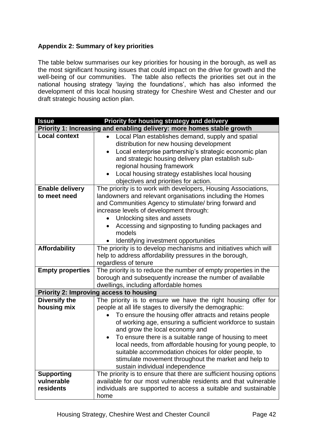## <span id="page-42-0"></span>**Appendix 2: Summary of key priorities**

The table below summarises our key priorities for housing in the borough, as well as the most significant housing issues that could impact on the drive for growth and the well-being of our communities. The table also reflects the priorities set out in the national housing strategy 'laying the foundations', which has also informed the development of this local housing strategy for Cheshire West and Chester and our draft strategic housing action plan.

| <b>Issue</b><br>Priority for housing strategy and delivery |                                                                                                                                            |  |
|------------------------------------------------------------|--------------------------------------------------------------------------------------------------------------------------------------------|--|
|                                                            | Priority 1: Increasing and enabling delivery: more homes stable growth                                                                     |  |
| <b>Local context</b>                                       | Local Plan establishes demand, supply and spatial<br>$\bullet$                                                                             |  |
|                                                            | distribution for new housing development                                                                                                   |  |
|                                                            | Local enterprise partnership's strategic economic plan<br>and strategic housing delivery plan establish sub-<br>regional housing framework |  |
|                                                            | Local housing strategy establishes local housing                                                                                           |  |
|                                                            | objectives and priorities for action.                                                                                                      |  |
| <b>Enable delivery</b>                                     | The priority is to work with developers, Housing Associations,                                                                             |  |
| to meet need                                               | landowners and relevant organisations including the Homes<br>and Communities Agency to stimulate/ bring forward and                        |  |
|                                                            | increase levels of development through:                                                                                                    |  |
|                                                            | Unlocking sites and assets                                                                                                                 |  |
|                                                            | Accessing and signposting to funding packages and                                                                                          |  |
|                                                            | models                                                                                                                                     |  |
|                                                            | Identifying investment opportunities                                                                                                       |  |
| <b>Affordability</b>                                       | The priority is to develop mechanisms and initiatives which will                                                                           |  |
|                                                            | help to address affordability pressures in the borough,                                                                                    |  |
|                                                            | regardless of tenure                                                                                                                       |  |
| <b>Empty properties</b>                                    | The priority is to reduce the number of empty properties in the                                                                            |  |
|                                                            | borough and subsequently increase the number of available                                                                                  |  |
|                                                            | dwellings, including affordable homes                                                                                                      |  |
|                                                            | <b>Priority 2: Improving access to housing</b>                                                                                             |  |
| <b>Diversify the</b>                                       | The priority is to ensure we have the right housing offer for                                                                              |  |
| housing mix                                                | people at all life stages to diversify the demographic:                                                                                    |  |
|                                                            | To ensure the housing offer attracts and retains people                                                                                    |  |
|                                                            | of working age, ensuring a sufficient workforce to sustain                                                                                 |  |
|                                                            | and grow the local economy and                                                                                                             |  |
|                                                            | To ensure there is a suitable range of housing to meet                                                                                     |  |
|                                                            | local needs, from affordable housing for young people, to                                                                                  |  |
|                                                            | suitable accommodation choices for older people, to<br>stimulate movement throughout the market and help to                                |  |
|                                                            | sustain individual independence                                                                                                            |  |
| <b>Supporting</b>                                          | The priority is to ensure that there are sufficient housing options                                                                        |  |
| vulnerable                                                 | available for our most vulnerable residents and that vulnerable                                                                            |  |
| residents                                                  | individuals are supported to access a suitable and sustainable                                                                             |  |
|                                                            | home                                                                                                                                       |  |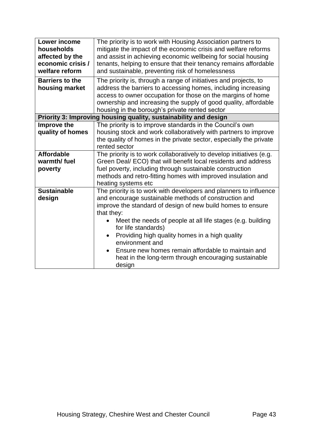| <b>Lower income</b><br>households<br>affected by the<br>economic crisis /<br>welfare reform | The priority is to work with Housing Association partners to<br>mitigate the impact of the economic crisis and welfare reforms<br>and assist in achieving economic wellbeing for social housing<br>tenants, helping to ensure that their tenancy remains affordable<br>and sustainable, preventing risk of homelessness |  |  |
|---------------------------------------------------------------------------------------------|-------------------------------------------------------------------------------------------------------------------------------------------------------------------------------------------------------------------------------------------------------------------------------------------------------------------------|--|--|
| <b>Barriers to the</b><br>housing market                                                    | The priority is, through a range of initiatives and projects, to<br>address the barriers to accessing homes, including increasing<br>access to owner occupation for those on the margins of home<br>ownership and increasing the supply of good quality, affordable<br>housing in the borough's private rented sector   |  |  |
|                                                                                             | Priority 3: Improving housing quality, sustainability and design                                                                                                                                                                                                                                                        |  |  |
| Improve the<br>quality of homes                                                             | The priority is to improve standards in the Council's own<br>housing stock and work collaboratively with partners to improve<br>the quality of homes in the private sector, especially the private<br>rented sector                                                                                                     |  |  |
| <b>Affordable</b>                                                                           | The priority is to work collaboratively to develop initiatives (e.g.                                                                                                                                                                                                                                                    |  |  |
| warmth/fuel                                                                                 | Green Deal/ ECO) that will benefit local residents and address                                                                                                                                                                                                                                                          |  |  |
| poverty                                                                                     | fuel poverty, including through sustainable construction                                                                                                                                                                                                                                                                |  |  |
|                                                                                             | methods and retro-fitting homes with improved insulation and<br>heating systems etc                                                                                                                                                                                                                                     |  |  |
| <b>Sustainable</b>                                                                          | The priority is to work with developers and planners to influence                                                                                                                                                                                                                                                       |  |  |
| design                                                                                      | and encourage sustainable methods of construction and                                                                                                                                                                                                                                                                   |  |  |
|                                                                                             | improve the standard of design of new build homes to ensure                                                                                                                                                                                                                                                             |  |  |
|                                                                                             | that they:                                                                                                                                                                                                                                                                                                              |  |  |
|                                                                                             | Meet the needs of people at all life stages (e.g. building<br>for life standards)                                                                                                                                                                                                                                       |  |  |
|                                                                                             | Providing high quality homes in a high quality<br>$\bullet$<br>environment and                                                                                                                                                                                                                                          |  |  |
|                                                                                             | Ensure new homes remain affordable to maintain and<br>heat in the long-term through encouraging sustainable<br>design                                                                                                                                                                                                   |  |  |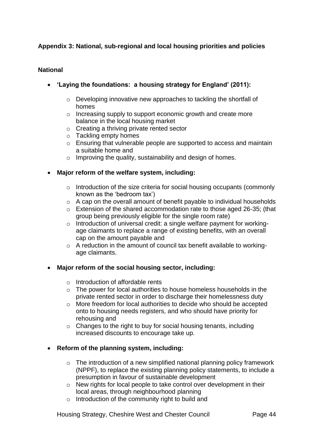## <span id="page-44-0"></span>**Appendix 3: National, sub-regional and local housing priorities and policies**

## **National**

- **'Laying the foundations: a housing strategy for England' (2011):**
	- o Developing innovative new approaches to tackling the shortfall of homes
	- o Increasing supply to support economic growth and create more balance in the local housing market
	- o Creating a thriving private rented sector
	- o Tackling empty homes
	- o Ensuring that vulnerable people are supported to access and maintain a suitable home and
	- $\circ$  Improving the quality, sustainability and design of homes.
- **Major reform of the welfare system, including:**
	- o Introduction of the size criteria for social housing occupants (commonly known as the 'bedroom tax')
	- o A cap on the overall amount of benefit payable to individual households
	- o Extension of the shared accommodation rate to those aged 26-35; (that group being previously eligible for the single room rate)
	- o Introduction of universal credit: a single welfare payment for workingage claimants to replace a range of existing benefits, with an overall cap on the amount payable and
	- o A reduction in the amount of council tax benefit available to workingage claimants.

## **Major reform of the social housing sector, including:**

- o Introduction of affordable rents
- o The power for local authorities to house homeless households in the private rented sector in order to discharge their homelessness duty
- o More freedom for local authorities to decide who should be accepted onto to housing needs registers, and who should have priority for rehousing and
- $\circ$  Changes to the right to buy for social housing tenants, including increased discounts to encourage take up.

## **Reform of the planning system, including:**

- $\circ$  The introduction of a new simplified national planning policy framework (NPPF), to replace the existing planning policy statements, to include a presumption in favour of sustainable development
- o New rights for local people to take control over development in their local areas, through neighbourhood planning
- o Introduction of the community right to build and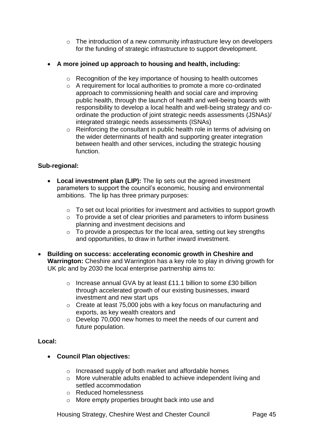o The introduction of a new community infrastructure levy on developers for the funding of strategic infrastructure to support development.

## **A more joined up approach to housing and health, including:**

- o Recognition of the key importance of housing to health outcomes
- o A requirement for local authorities to promote a more co-ordinated approach to commissioning health and social care and improving public health, through the launch of health and well-being boards with responsibility to develop a local health and well-being strategy and coordinate the production of joint strategic needs assessments (JSNAs)/ integrated strategic needs assessments (ISNAs)
- o Reinforcing the consultant in public health role in terms of advising on the wider determinants of health and supporting greater integration between health and other services, including the strategic housing function.

## **Sub-regional:**

- **Local investment plan (LIP):** The lip sets out the agreed investment parameters to support the council's economic, housing and environmental ambitions. The lip has three primary purposes:
	- o To set out local priorities for investment and activities to support growth
	- o To provide a set of clear priorities and parameters to inform business planning and investment decisions and
	- o To provide a prospectus for the local area, setting out key strengths and opportunities, to draw in further inward investment.
- **Building on success: accelerating economic growth in Cheshire and Warrington:** Cheshire and Warrington has a key role to play in driving growth for UK plc and by 2030 the local enterprise partnership aims to:
	- o Increase annual GVA by at least £11.1 billion to some £30 billion through accelerated growth of our existing businesses, inward investment and new start ups
	- o Create at least 75,000 jobs with a key focus on manufacturing and exports, as key wealth creators and
	- o Develop 70,000 new homes to meet the needs of our current and future population.

## **Local:**

## **Council Plan objectives:**

- o Increased supply of both market and affordable homes
- o More vulnerable adults enabled to achieve independent living and settled accommodation
- o Reduced homelessness
- o More empty properties brought back into use and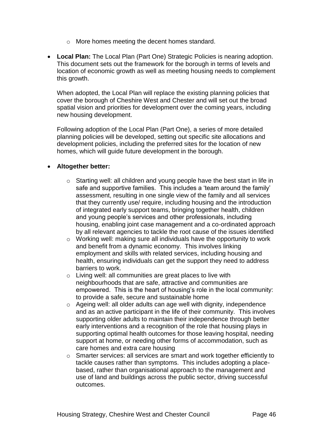- o More homes meeting the decent homes standard.
- **Local Plan:** The Local Plan (Part One) Strategic Policies is nearing adoption. This document sets out the framework for the borough in terms of levels and location of economic growth as well as meeting housing needs to complement this growth.

When adopted, the Local Plan will replace the existing planning policies that cover the borough of Cheshire West and Chester and will set out the broad spatial vision and priorities for development over the coming years, including new housing development.

Following adoption of the Local Plan (Part One), a series of more detailed planning policies will be developed, setting out specific site allocations and development policies, including the preferred sites for the location of new homes, which will guide future development in the borough.

## **Altogether better:**

- o Starting well: all children and young people have the best start in life in safe and supportive families. This includes a 'team around the family' assessment, resulting in one single view of the family and all services that they currently use/ require, including housing and the introduction of integrated early support teams, bringing together health, children and young people's services and other professionals, including housing, enabling joint case management and a co-ordinated approach by all relevant agencies to tackle the root cause of the issues identified
- o Working well: making sure all individuals have the opportunity to work and benefit from a dynamic economy. This involves linking employment and skills with related services, including housing and health, ensuring individuals can get the support they need to address barriers to work.
- o Living well: all communities are great places to live with neighbourhoods that are safe, attractive and communities are empowered. This is the heart of housing's role in the local community: to provide a safe, secure and sustainable home
- o Ageing well: all older adults can age well with dignity, independence and as an active participant in the life of their community. This involves supporting older adults to maintain their independence through better early interventions and a recognition of the role that housing plays in supporting optimal health outcomes for those leaving hospital, needing support at home, or needing other forms of accommodation, such as care homes and extra care housing
- o Smarter services: all services are smart and work together efficiently to tackle causes rather than symptoms. This includes adopting a placebased, rather than organisational approach to the management and use of land and buildings across the public sector, driving successful outcomes.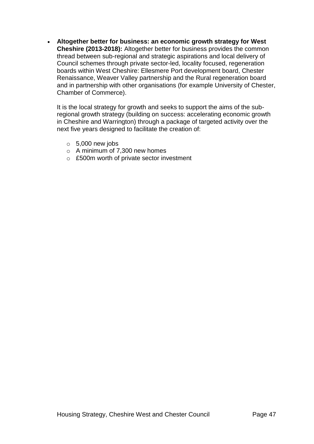**Altogether better for business: an economic growth strategy for West Cheshire (2013-2018):** Altogether better for business provides the common thread between sub-regional and strategic aspirations and local delivery of Council schemes through private sector-led, locality focused, regeneration boards within West Cheshire: Ellesmere Port development board, Chester Renaissance, Weaver Valley partnership and the Rural regeneration board and in partnership with other organisations (for example University of Chester, Chamber of Commerce).

It is the local strategy for growth and seeks to support the aims of the subregional growth strategy (building on success: accelerating economic growth in Cheshire and Warrington) through a package of targeted activity over the next five years designed to facilitate the creation of:

- $\circ$  5,000 new jobs
- o A minimum of 7,300 new homes
- o £500m worth of private sector investment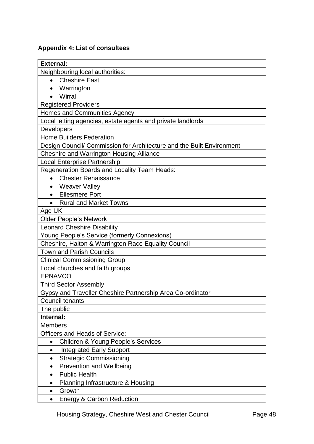# <span id="page-48-0"></span>**Appendix 4: List of consultees**

| <b>External:</b>                                                      |  |  |
|-----------------------------------------------------------------------|--|--|
| Neighbouring local authorities:                                       |  |  |
| • Cheshire East                                                       |  |  |
| Warrington                                                            |  |  |
| Wirral<br>$\bullet$                                                   |  |  |
| <b>Registered Providers</b>                                           |  |  |
| Homes and Communities Agency                                          |  |  |
| Local letting agencies, estate agents and private landlords           |  |  |
| Developers                                                            |  |  |
| <b>Home Builders Federation</b>                                       |  |  |
| Design Council/ Commission for Architecture and the Built Environment |  |  |
| <b>Cheshire and Warrington Housing Alliance</b>                       |  |  |
| <b>Local Enterprise Partnership</b>                                   |  |  |
| Regeneration Boards and Locality Team Heads:                          |  |  |
| <b>Chester Renaissance</b><br>$\bullet$                               |  |  |
| Weaver Valley<br>$\bullet$                                            |  |  |
| <b>Ellesmere Port</b><br>$\bullet$                                    |  |  |
| <b>Rural and Market Towns</b>                                         |  |  |
| Age UK                                                                |  |  |
| <b>Older People's Network</b>                                         |  |  |
| <b>Leonard Cheshire Disability</b>                                    |  |  |
| Young People's Service (formerly Connexions)                          |  |  |
| Cheshire, Halton & Warrington Race Equality Council                   |  |  |
| <b>Town and Parish Councils</b>                                       |  |  |
| <b>Clinical Commissioning Group</b>                                   |  |  |
| Local churches and faith groups                                       |  |  |
| <b>EPNAVCO</b>                                                        |  |  |
| <b>Third Sector Assembly</b>                                          |  |  |
| Gypsy and Traveller Cheshire Partnership Area Co-ordinator            |  |  |
| Council tenants                                                       |  |  |
| The public                                                            |  |  |
| Internal:                                                             |  |  |
| <b>Members</b>                                                        |  |  |
| <b>Officers and Heads of Service:</b>                                 |  |  |
| <b>Children &amp; Young People's Services</b>                         |  |  |
| Integrated Early Support<br>$\bullet$                                 |  |  |
| <b>Strategic Commissioning</b><br>$\bullet$                           |  |  |
| <b>Prevention and Wellbeing</b><br>$\bullet$                          |  |  |
| <b>Public Health</b><br>$\bullet$                                     |  |  |
| Planning Infrastructure & Housing<br>٠                                |  |  |
| Growth<br>$\bullet$                                                   |  |  |
| <b>Energy &amp; Carbon Reduction</b><br>$\bullet$                     |  |  |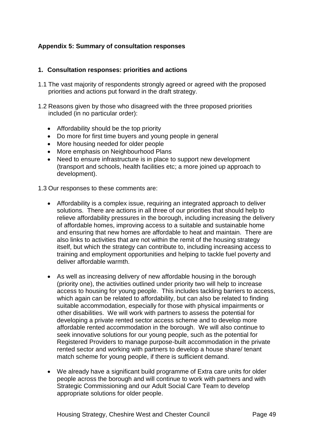## <span id="page-49-0"></span>**Appendix 5: Summary of consultation responses**

## **1. Consultation responses: priorities and actions**

- 1.1 The vast majority of respondents strongly agreed or agreed with the proposed priorities and actions put forward in the draft strategy.
- 1.2 Reasons given by those who disagreed with the three proposed priorities included (in no particular order):
	- Affordability should be the top priority
	- Do more for first time buyers and young people in general
	- More housing needed for older people
	- More emphasis on Neighbourhood Plans
	- Need to ensure infrastructure is in place to support new development (transport and schools, health facilities etc; a more joined up approach to development).
- 1.3 Our responses to these comments are:
	- Affordability is a complex issue, requiring an integrated approach to deliver solutions. There are actions in all three of our priorities that should help to relieve affordability pressures in the borough, including increasing the delivery of affordable homes, improving access to a suitable and sustainable home and ensuring that new homes are affordable to heat and maintain. There are also links to activities that are not within the remit of the housing strategy itself, but which the strategy can contribute to, including increasing access to training and employment opportunities and helping to tackle fuel poverty and deliver affordable warmth.
	- As well as increasing delivery of new affordable housing in the borough (priority one), the activities outlined under priority two will help to increase access to housing for young people. This includes tackling barriers to access, which again can be related to affordability, but can also be related to finding suitable accommodation, especially for those with physical impairments or other disabilities. We will work with partners to assess the potential for developing a private rented sector access scheme and to develop more affordable rented accommodation in the borough. We will also continue to seek innovative solutions for our young people, such as the potential for Registered Providers to manage purpose-built accommodation in the private rented sector and working with partners to develop a house share/ tenant match scheme for young people, if there is sufficient demand.
	- We already have a significant build programme of Extra care units for older people across the borough and will continue to work with partners and with Strategic Commissioning and our Adult Social Care Team to develop appropriate solutions for older people.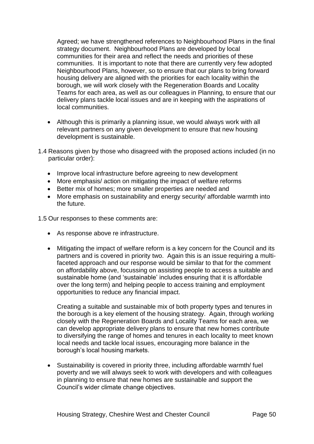Agreed; we have strengthened references to Neighbourhood Plans in the final strategy document. Neighbourhood Plans are developed by local communities for their area and reflect the needs and priorities of these communities. It is important to note that there are currently very few adopted Neighbourhood Plans, however, so to ensure that our plans to bring forward housing delivery are aligned with the priorities for each locality within the borough, we will work closely with the Regeneration Boards and Locality Teams for each area, as well as our colleagues in Planning, to ensure that our delivery plans tackle local issues and are in keeping with the aspirations of local communities.

- Although this is primarily a planning issue, we would always work with all relevant partners on any given development to ensure that new housing development is sustainable.
- 1.4 Reasons given by those who disagreed with the proposed actions included (in no particular order):
	- Improve local infrastructure before agreeing to new development
	- More emphasis/ action on mitigating the impact of welfare reforms
	- Better mix of homes: more smaller properties are needed and
	- More emphasis on sustainability and energy security/ affordable warmth into the future.

1.5 Our responses to these comments are:

- As response above re infrastructure.
- Mitigating the impact of welfare reform is a key concern for the Council and its partners and is covered in priority two. Again this is an issue requiring a multifaceted approach and our response would be similar to that for the comment on affordability above, focussing on assisting people to access a suitable and sustainable home (and 'sustainable' includes ensuring that it is affordable over the long term) and helping people to access training and employment opportunities to reduce any financial impact.

Creating a suitable and sustainable mix of both property types and tenures in the borough is a key element of the housing strategy. Again, through working closely with the Regeneration Boards and Locality Teams for each area, we can develop appropriate delivery plans to ensure that new homes contribute to diversifying the range of homes and tenures in each locality to meet known local needs and tackle local issues, encouraging more balance in the borough's local housing markets.

 Sustainability is covered in priority three, including affordable warmth/ fuel poverty and we will always seek to work with developers and with colleagues in planning to ensure that new homes are sustainable and support the Council's wider climate change objectives.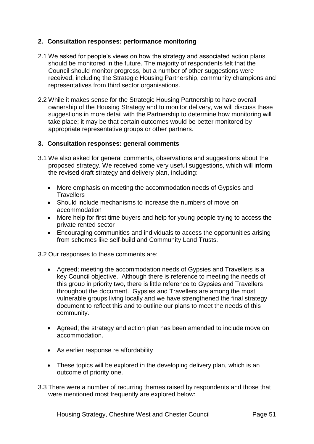## **2. Consultation responses: performance monitoring**

- 2.1 We asked for people's views on how the strategy and associated action plans should be monitored in the future. The majority of respondents felt that the Council should monitor progress, but a number of other suggestions were received, including the Strategic Housing Partnership, community champions and representatives from third sector organisations.
- 2.2 While it makes sense for the Strategic Housing Partnership to have overall ownership of the Housing Strategy and to monitor delivery, we will discuss these suggestions in more detail with the Partnership to determine how monitoring will take place; it may be that certain outcomes would be better monitored by appropriate representative groups or other partners.

## **3. Consultation responses: general comments**

- 3.1 We also asked for general comments, observations and suggestions about the proposed strategy. We received some very useful suggestions, which will inform the revised draft strategy and delivery plan, including:
	- More emphasis on meeting the accommodation needs of Gypsies and **Travellers**
	- Should include mechanisms to increase the numbers of move on accommodation
	- More help for first time buyers and help for young people trying to access the private rented sector
	- Encouraging communities and individuals to access the opportunities arising from schemes like self-build and Community Land Trusts.

3.2 Our responses to these comments are:

- Agreed; meeting the accommodation needs of Gypsies and Travellers is a key Council objective. Although there is reference to meeting the needs of this group in priority two, there is little reference to Gypsies and Travellers throughout the document. Gypsies and Travellers are among the most vulnerable groups living locally and we have strengthened the final strategy document to reflect this and to outline our plans to meet the needs of this community.
- Agreed; the strategy and action plan has been amended to include move on accommodation.
- As earlier response re affordability
- These topics will be explored in the developing delivery plan, which is an outcome of priority one.
- 3.3 There were a number of recurring themes raised by respondents and those that were mentioned most frequently are explored below: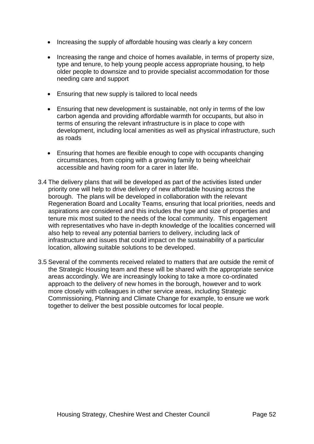- Increasing the supply of affordable housing was clearly a key concern
- Increasing the range and choice of homes available, in terms of property size, type and tenure, to help young people access appropriate housing, to help older people to downsize and to provide specialist accommodation for those needing care and support
- Ensuring that new supply is tailored to local needs
- Ensuring that new development is sustainable, not only in terms of the low carbon agenda and providing affordable warmth for occupants, but also in terms of ensuring the relevant infrastructure is in place to cope with development, including local amenities as well as physical infrastructure, such as roads
- Ensuring that homes are flexible enough to cope with occupants changing circumstances, from coping with a growing family to being wheelchair accessible and having room for a carer in later life.
- 3.4 The delivery plans that will be developed as part of the activities listed under priority one will help to drive delivery of new affordable housing across the borough. The plans will be developed in collaboration with the relevant Regeneration Board and Locality Teams, ensuring that local priorities, needs and aspirations are considered and this includes the type and size of properties and tenure mix most suited to the needs of the local community. This engagement with representatives who have in-depth knowledge of the localities concerned will also help to reveal any potential barriers to delivery, including lack of infrastructure and issues that could impact on the sustainability of a particular location, allowing suitable solutions to be developed.
- 3.5 Several of the comments received related to matters that are outside the remit of the Strategic Housing team and these will be shared with the appropriate service areas accordingly. We are increasingly looking to take a more co-ordinated approach to the delivery of new homes in the borough, however and to work more closely with colleagues in other service areas, including Strategic Commissioning, Planning and Climate Change for example, to ensure we work together to deliver the best possible outcomes for local people.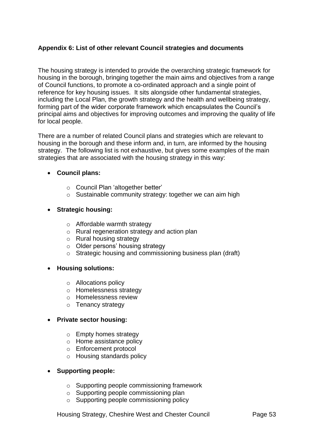## <span id="page-53-0"></span>**Appendix 6: List of other relevant Council strategies and documents**

The housing strategy is intended to provide the overarching strategic framework for housing in the borough, bringing together the main aims and objectives from a range of Council functions, to promote a co-ordinated approach and a single point of reference for key housing issues. It sits alongside other fundamental strategies, including the Local Plan, the growth strategy and the health and wellbeing strategy, forming part of the wider corporate framework which encapsulates the Council's principal aims and objectives for improving outcomes and improving the quality of life for local people.

There are a number of related Council plans and strategies which are relevant to housing in the borough and these inform and, in turn, are informed by the housing strategy. The following list is not exhaustive, but gives some examples of the main strategies that are associated with the housing strategy in this way:

## **Council plans:**

- o Council Plan 'altogether better'
- o Sustainable community strategy: together we can aim high

## **Strategic housing:**

- o Affordable warmth strategy
- o Rural regeneration strategy and action plan
- o Rural housing strategy
- o Older persons' housing strategy
- o Strategic housing and commissioning business plan (draft)

## **Housing solutions:**

- o Allocations policy
- o Homelessness strategy
- o Homelessness review
- o Tenancy strategy

## **Private sector housing:**

- o Empty homes strategy
- o Home assistance policy
- o Enforcement protocol
- o Housing standards policy

## **Supporting people:**

- o Supporting people commissioning framework
- o Supporting people commissioning plan
- o Supporting people commissioning policy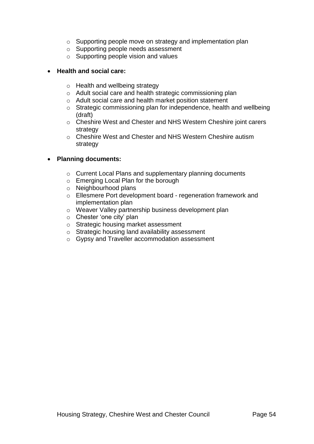- o Supporting people move on strategy and implementation plan
- o Supporting people needs assessment
- $\circ$  Supporting people vision and values

## **Health and social care:**

- o Health and wellbeing strategy
- o Adult social care and health strategic commissioning plan
- o Adult social care and health market position statement
- o Strategic commissioning plan for independence, health and wellbeing (draft)
- o Cheshire West and Chester and NHS Western Cheshire joint carers strategy
- o Cheshire West and Chester and NHS Western Cheshire autism strategy

## **Planning documents:**

- o Current Local Plans and supplementary planning documents
- o Emerging Local Plan for the borough
- o Neighbourhood plans
- o Ellesmere Port development board regeneration framework and implementation plan
- o Weaver Valley partnership business development plan
- o Chester 'one city' plan
- o Strategic housing market assessment
- o Strategic housing land availability assessment
- o Gypsy and Traveller accommodation assessment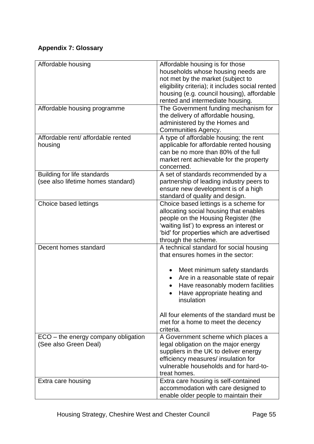# <span id="page-55-0"></span>**Appendix 7: Glossary**

| Affordable housing                                                | Affordable housing is for those<br>households whose housing needs are<br>not met by the market (subject to<br>eligibility criteria); it includes social rented<br>housing (e.g. council housing), affordable                                                                                                                            |
|-------------------------------------------------------------------|-----------------------------------------------------------------------------------------------------------------------------------------------------------------------------------------------------------------------------------------------------------------------------------------------------------------------------------------|
| Affordable housing programme                                      | rented and intermediate housing.<br>The Government funding mechanism for<br>the delivery of affordable housing,<br>administered by the Homes and<br>Communities Agency.                                                                                                                                                                 |
| Affordable rent/ affordable rented<br>housing                     | A type of affordable housing; the rent<br>applicable for affordable rented housing<br>can be no more than 80% of the full<br>market rent achievable for the property<br>concerned.                                                                                                                                                      |
| Building for life standards<br>(see also lifetime homes standard) | A set of standards recommended by a<br>partnership of leading industry peers to<br>ensure new development is of a high<br>standard of quality and design.                                                                                                                                                                               |
| Choice based lettings                                             | Choice based lettings is a scheme for<br>allocating social housing that enables<br>people on the Housing Register (the<br>'waiting list') to express an interest or<br>'bid' for properties which are advertised<br>through the scheme.                                                                                                 |
| Decent homes standard                                             | A technical standard for social housing<br>that ensures homes in the sector:<br>Meet minimum safety standards<br>Are in a reasonable state of repair<br>Have reasonably modern facilities<br>Have appropriate heating and<br>insulation<br>All four elements of the standard must be<br>met for a home to meet the decency<br>criteria. |
| ECO - the energy company obligation<br>(See also Green Deal)      | A Government scheme which places a<br>legal obligation on the major energy<br>suppliers in the UK to deliver energy<br>efficiency measures/ insulation for<br>vulnerable households and for hard-to-<br>treat homes.                                                                                                                    |
| Extra care housing                                                | Extra care housing is self-contained<br>accommodation with care designed to<br>enable older people to maintain their                                                                                                                                                                                                                    |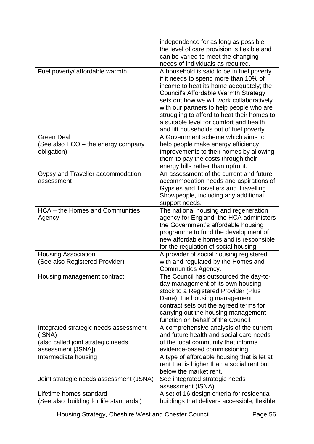|                                                                                                             | independence for as long as possible;<br>the level of care provision is flexible and<br>can be varied to meet the changing<br>needs of individuals as required.                                                                                                                                                                                                                                      |
|-------------------------------------------------------------------------------------------------------------|------------------------------------------------------------------------------------------------------------------------------------------------------------------------------------------------------------------------------------------------------------------------------------------------------------------------------------------------------------------------------------------------------|
| Fuel poverty/ affordable warmth                                                                             | A household is said to be in fuel poverty<br>if it needs to spend more than 10% of<br>income to heat its home adequately; the<br>Council's Affordable Warmth Strategy<br>sets out how we will work collaboratively<br>with our partners to help people who are<br>struggling to afford to heat their homes to<br>a suitable level for comfort and health<br>and lift households out of fuel poverty. |
| <b>Green Deal</b><br>(See also ECO - the energy company<br>obligation)                                      | A Government scheme which aims to<br>help people make energy efficiency<br>improvements to their homes by allowing<br>them to pay the costs through their<br>energy bills rather than upfront.                                                                                                                                                                                                       |
| Gypsy and Traveller accommodation<br>assessment                                                             | An assessment of the current and future<br>accommodation needs and aspirations of<br>Gypsies and Travellers and Travelling<br>Showpeople, including any additional<br>support needs.                                                                                                                                                                                                                 |
| HCA - the Homes and Communities<br>Agency                                                                   | The national housing and regeneration<br>agency for England; the HCA administers<br>the Government's affordable housing<br>programme to fund the development of<br>new affordable homes and is responsible<br>for the regulation of social housing.                                                                                                                                                  |
| <b>Housing Association</b><br>(See also Registered Provider)                                                | A provider of social housing registered<br>with and regulated by the Homes and<br>Communities Agency.                                                                                                                                                                                                                                                                                                |
| Housing management contract                                                                                 | The Council has outsourced the day-to-<br>day management of its own housing<br>stock to a Registered Provider (Plus<br>Dane); the housing management<br>contract sets out the agreed terms for<br>carrying out the housing management<br>function on behalf of the Council.                                                                                                                          |
| Integrated strategic needs assessment<br>(ISNA)<br>(also called joint strategic needs<br>assessment [JSNA]) | A comprehensive analysis of the current<br>and future health and social care needs<br>of the local community that informs<br>evidence-based commissioning.                                                                                                                                                                                                                                           |
| Intermediate housing                                                                                        | A type of affordable housing that is let at<br>rent that is higher than a social rent but<br>below the market rent.                                                                                                                                                                                                                                                                                  |
| Joint strategic needs assessment (JSNA)                                                                     | See integrated strategic needs<br>assessment (ISNA)                                                                                                                                                                                                                                                                                                                                                  |
| Lifetime homes standard<br>See also 'building for life standards')                                          | A set of 16 design criteria for residential<br>buildings that delivers accessible, flexible                                                                                                                                                                                                                                                                                                          |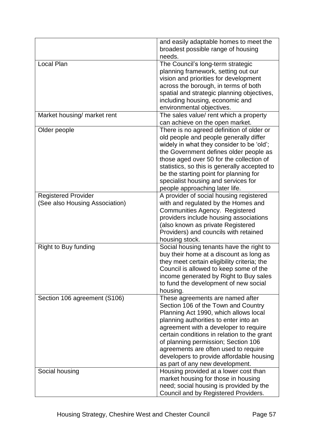|                                | and easily adaptable homes to meet the                                                   |
|--------------------------------|------------------------------------------------------------------------------------------|
|                                | broadest possible range of housing                                                       |
|                                | needs.                                                                                   |
| <b>Local Plan</b>              | The Council's long-term strategic                                                        |
|                                | planning framework, setting out our                                                      |
|                                | vision and priorities for development                                                    |
|                                | across the borough, in terms of both                                                     |
|                                | spatial and strategic planning objectives,                                               |
|                                | including housing, economic and                                                          |
|                                | environmental objectives.                                                                |
| Market housing/ market rent    | The sales value/ rent which a property<br>can achieve on the open market.                |
| Older people                   | There is no agreed definition of older or                                                |
|                                | old people and people generally differ                                                   |
|                                | widely in what they consider to be 'old';                                                |
|                                | the Government defines older people as                                                   |
|                                | those aged over 50 for the collection of<br>statistics, so this is generally accepted to |
|                                | be the starting point for planning for                                                   |
|                                | specialist housing and services for                                                      |
|                                | people approaching later life.                                                           |
| <b>Registered Provider</b>     | A provider of social housing registered                                                  |
| (See also Housing Association) | with and regulated by the Homes and                                                      |
|                                | <b>Communities Agency. Registered</b>                                                    |
|                                | providers include housing associations                                                   |
|                                | (also known as private Registered                                                        |
|                                | Providers) and councils with retained                                                    |
|                                | housing stock.                                                                           |
| Right to Buy funding           | Social housing tenants have the right to                                                 |
|                                | buy their home at a discount as long as                                                  |
|                                | they meet certain eligibility criteria; the                                              |
|                                | Council is allowed to keep some of the                                                   |
|                                | income generated by Right to Buy sales                                                   |
|                                | to fund the development of new social                                                    |
|                                | housing.                                                                                 |
| Section 106 agreement (S106)   | These agreements are named after<br>Section 106 of the Town and Country                  |
|                                | Planning Act 1990, which allows local                                                    |
|                                | planning authorities to enter into an                                                    |
|                                | agreement with a developer to require                                                    |
|                                | certain conditions in relation to the grant                                              |
|                                | of planning permission; Section 106                                                      |
|                                | agreements are often used to require                                                     |
|                                | developers to provide affordable housing                                                 |
|                                | as part of any new development.                                                          |
| Social housing                 | Housing provided at a lower cost than                                                    |
|                                | market housing for those in housing                                                      |
|                                | need; social housing is provided by the                                                  |
|                                | Council and by Registered Providers.                                                     |